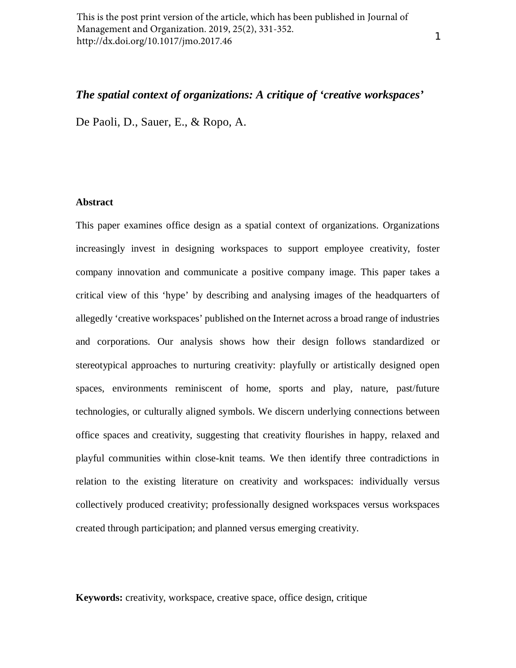This is the post print version of the article, which has been published in Journal of Management and Organization. 2019, 25(2), 331-352. http://dx.doi.org/10.1017/jmo.2017.46

## *The spatial context of organizations: A critique of 'creative workspaces'*

De Paoli, D., Sauer, E., & Ropo, A.

## **Abstract**

This paper examines office design as a spatial context of organizations. Organizations increasingly invest in designing workspaces to support employee creativity, foster company innovation and communicate a positive company image. This paper takes a critical view of this 'hype' by describing and analysing images of the headquarters of allegedly 'creative workspaces' published on the Internet across a broad range of industries and corporations. Our analysis shows how their design follows standardized or stereotypical approaches to nurturing creativity: playfully or artistically designed open spaces, environments reminiscent of home, sports and play, nature, past/future technologies, or culturally aligned symbols. We discern underlying connections between office spaces and creativity, suggesting that creativity flourishes in happy, relaxed and playful communities within close-knit teams. We then identify three contradictions in relation to the existing literature on creativity and workspaces: individually versus collectively produced creativity; professionally designed workspaces versus workspaces created through participation; and planned versus emerging creativity.

**Keywords:** creativity, workspace, creative space, office design, critique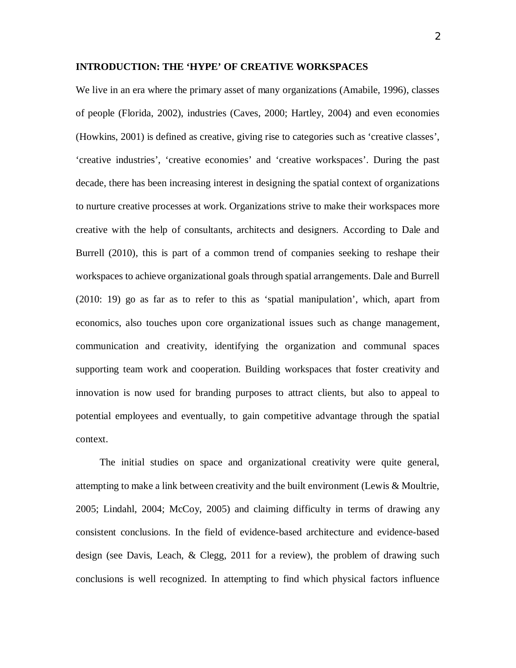## **INTRODUCTION: THE 'HYPE' OF CREATIVE WORKSPACES**

We live in an era where the primary asset of many organizations (Amabile, 1996), classes of people (Florida, 2002), industries (Caves, 2000; Hartley, 2004) and even economies (Howkins, 2001) is defined as creative, giving rise to categories such as 'creative classes', 'creative industries', 'creative economies' and 'creative workspaces'. During the past decade, there has been increasing interest in designing the spatial context of organizations to nurture creative processes at work. Organizations strive to make their workspaces more creative with the help of consultants, architects and designers. According to Dale and Burrell (2010), this is part of a common trend of companies seeking to reshape their workspaces to achieve organizational goals through spatial arrangements. Dale and Burrell (2010: 19) go as far as to refer to this as 'spatial manipulation', which, apart from economics, also touches upon core organizational issues such as change management, communication and creativity, identifying the organization and communal spaces supporting team work and cooperation. Building workspaces that foster creativity and innovation is now used for branding purposes to attract clients, but also to appeal to potential employees and eventually, to gain competitive advantage through the spatial context.

The initial studies on space and organizational creativity were quite general, attempting to make a link between creativity and the built environment (Lewis & Moultrie, 2005; Lindahl, 2004; McCoy, 2005) and claiming difficulty in terms of drawing any consistent conclusions. In the field of evidence-based architecture and evidence-based design (see Davis, Leach, & Clegg, 2011 for a review), the problem of drawing such conclusions is well recognized. In attempting to find which physical factors influence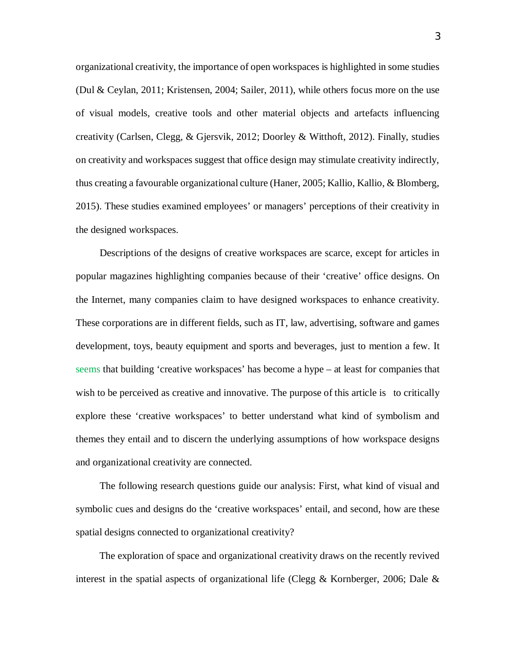organizational creativity, the importance of open workspaces is highlighted in some studies (Dul & Ceylan, 2011; Kristensen, 2004; Sailer, 2011), while others focus more on the use of visual models, creative tools and other material objects and artefacts influencing creativity (Carlsen, Clegg, & Gjersvik, 2012; Doorley & Witthoft, 2012). Finally, studies on creativity and workspaces suggest that office design may stimulate creativity indirectly, thus creating a favourable organizational culture (Haner, 2005; Kallio, Kallio, & Blomberg, 2015). These studies examined employees' or managers' perceptions of their creativity in the designed workspaces.

Descriptions of the designs of creative workspaces are scarce, except for articles in popular magazines highlighting companies because of their 'creative' office designs. On the Internet, many companies claim to have designed workspaces to enhance creativity. These corporations are in different fields, such as IT, law, advertising, software and games development, toys, beauty equipment and sports and beverages, just to mention a few. It seems that building 'creative workspaces' has become a hype – at least for companies that wish to be perceived as creative and innovative. The purpose of this article is to critically explore these 'creative workspaces' to better understand what kind of symbolism and themes they entail and to discern the underlying assumptions of how workspace designs and organizational creativity are connected.

The following research questions guide our analysis: First, what kind of visual and symbolic cues and designs do the 'creative workspaces' entail, and second, how are these spatial designs connected to organizational creativity?

The exploration of space and organizational creativity draws on the recently revived interest in the spatial aspects of organizational life (Clegg & Kornberger, 2006; Dale  $\&$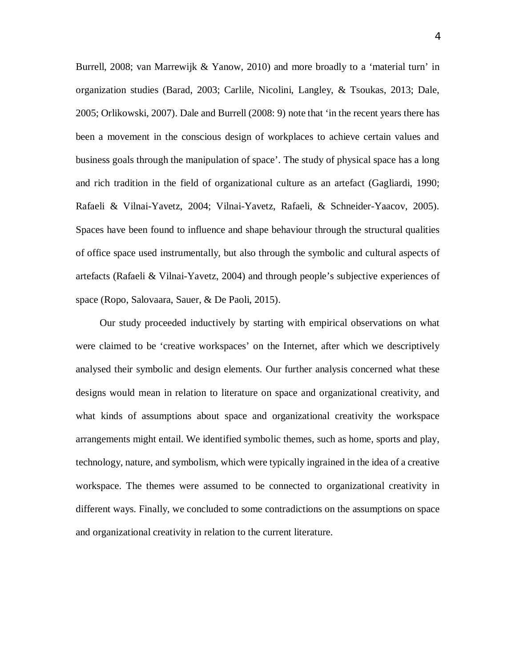Burrell, 2008; van Marrewijk & Yanow, 2010) and more broadly to a 'material turn' in organization studies (Barad, 2003; Carlile, Nicolini, Langley, & Tsoukas, 2013; Dale, 2005; Orlikowski, 2007). Dale and Burrell (2008: 9) note that 'in the recent years there has been a movement in the conscious design of workplaces to achieve certain values and business goals through the manipulation of space'. The study of physical space has a long and rich tradition in the field of organizational culture as an artefact (Gagliardi, 1990; Rafaeli & Vilnai-Yavetz, 2004; Vilnai-Yavetz, Rafaeli, & Schneider-Yaacov, 2005). Spaces have been found to influence and shape behaviour through the structural qualities of office space used instrumentally, but also through the symbolic and cultural aspects of artefacts (Rafaeli & Vilnai-Yavetz, 2004) and through people's subjective experiences of space (Ropo, Salovaara, Sauer, & De Paoli, 2015).

Our study proceeded inductively by starting with empirical observations on what were claimed to be 'creative workspaces' on the Internet, after which we descriptively analysed their symbolic and design elements. Our further analysis concerned what these designs would mean in relation to literature on space and organizational creativity, and what kinds of assumptions about space and organizational creativity the workspace arrangements might entail. We identified symbolic themes, such as home, sports and play, technology, nature, and symbolism, which were typically ingrained in the idea of a creative workspace. The themes were assumed to be connected to organizational creativity in different ways. Finally, we concluded to some contradictions on the assumptions on space and organizational creativity in relation to the current literature.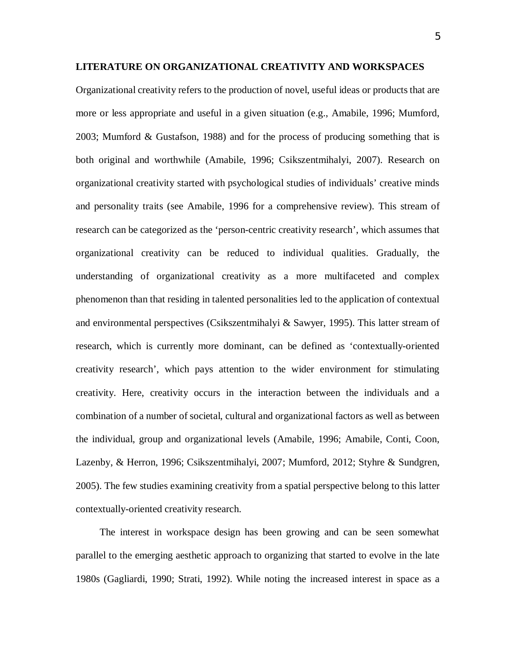Organizational creativity refers to the production of novel, useful ideas or products that are more or less appropriate and useful in a given situation (e.g., Amabile, 1996; Mumford, 2003; Mumford & Gustafson, 1988) and for the process of producing something that is both original and worthwhile (Amabile, 1996; Csikszentmihalyi, 2007). Research on organizational creativity started with psychological studies of individuals' creative minds and personality traits (see Amabile, 1996 for a comprehensive review). This stream of research can be categorized as the 'person-centric creativity research', which assumes that organizational creativity can be reduced to individual qualities. Gradually, the understanding of organizational creativity as a more multifaceted and complex phenomenon than that residing in talented personalities led to the application of contextual and environmental perspectives (Csikszentmihalyi  $\&$  Sawyer, 1995). This latter stream of research, which is currently more dominant, can be defined as 'contextually-oriented creativity research', which pays attention to the wider environment for stimulating creativity. Here, creativity occurs in the interaction between the individuals and a combination of a number of societal, cultural and organizational factors as well as between the individual, group and organizational levels (Amabile, 1996; Amabile, Conti, Coon, Lazenby, & Herron, 1996; Csikszentmihalyi, 2007; Mumford, 2012; Styhre & Sundgren, 2005). The few studies examining creativity from a spatial perspective belong to this latter contextually-oriented creativity research.

The interest in workspace design has been growing and can be seen somewhat parallel to the emerging aesthetic approach to organizing that started to evolve in the late 1980s (Gagliardi, 1990; Strati, 1992). While noting the increased interest in space as a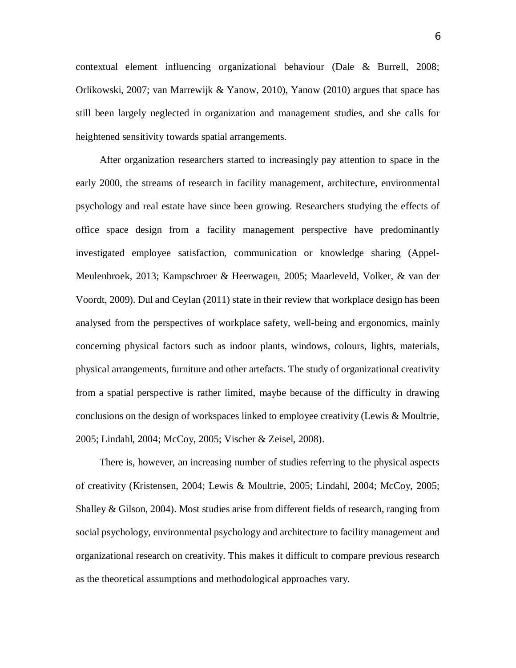contextual element influencing organizational behaviour (Dale & Burrell, 2008; Orlikowski, 2007; van Marrewijk & Yanow, 2010), Yanow (2010) argues that space has still been largely neglected in organization and management studies, and she calls for heightened sensitivity towards spatial arrangements.

After organization researchers started to increasingly pay attention to space in the early 2000, the streams of research in facility management, architecture, environmental psychology and real estate have since been growing. Researchers studying the effects of office space design from a facility management perspective have predominantly investigated employee satisfaction, communication or knowledge sharing (Appel-Meulenbroek, 2013; Kampschroer & Heerwagen, 2005; Maarleveld, Volker, & van der Voordt, 2009). Dul and Ceylan (2011) state in their review that workplace design has been analysed from the perspectives of workplace safety, well-being and ergonomics, mainly concerning physical factors such as indoor plants, windows, colours, lights, materials, physical arrangements, furniture and other artefacts. The study of organizational creativity from a spatial perspective is rather limited, maybe because of the difficulty in drawing conclusions on the design of workspaces linked to employee creativity (Lewis & Moultrie, 2005; Lindahl, 2004; McCoy, 2005; Vischer & Zeisel, 2008).

There is, however, an increasing number of studies referring to the physical aspects of creativity (Kristensen, 2004; Lewis & Moultrie, 2005; Lindahl, 2004; McCoy, 2005; Shalley & Gilson, 2004). Most studies arise from different fields of research, ranging from social psychology, environmental psychology and architecture to facility management and organizational research on creativity. This makes it difficult to compare previous research as the theoretical assumptions and methodological approaches vary.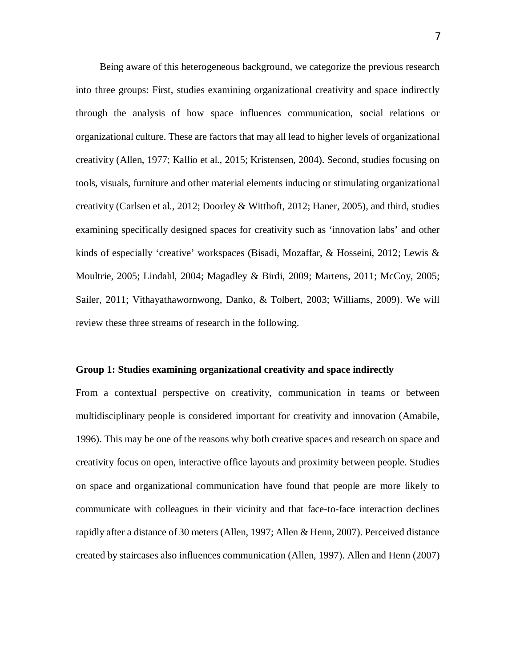Being aware of this heterogeneous background, we categorize the previous research into three groups: First, studies examining organizational creativity and space indirectly through the analysis of how space influences communication, social relations or organizational culture. These are factors that may all lead to higher levels of organizational creativity (Allen, 1977; Kallio et al., 2015; Kristensen, 2004). Second, studies focusing on tools, visuals, furniture and other material elements inducing or stimulating organizational creativity (Carlsen et al., 2012; Doorley & Witthoft, 2012; Haner, 2005), and third, studies examining specifically designed spaces for creativity such as 'innovation labs' and other kinds of especially 'creative' workspaces (Bisadi, Mozaffar, & Hosseini, 2012; Lewis & Moultrie, 2005; Lindahl, 2004; Magadley & Birdi, 2009; Martens, 2011; McCoy, 2005; Sailer, 2011; Vithayathawornwong, Danko, & Tolbert, 2003; Williams, 2009). We will review these three streams of research in the following.

#### **Group 1: Studies examining organizational creativity and space indirectly**

From a contextual perspective on creativity, communication in teams or between multidisciplinary people is considered important for creativity and innovation (Amabile, 1996). This may be one of the reasons why both creative spaces and research on space and creativity focus on open, interactive office layouts and proximity between people. Studies on space and organizational communication have found that people are more likely to communicate with colleagues in their vicinity and that face-to-face interaction declines rapidly after a distance of 30 meters (Allen, 1997; Allen & Henn, 2007). Perceived distance created by staircases also influences communication (Allen, 1997). Allen and Henn (2007)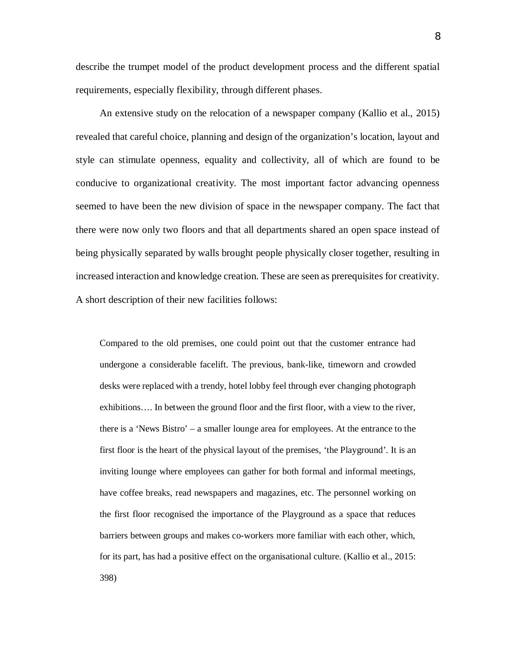describe the trumpet model of the product development process and the different spatial requirements, especially flexibility, through different phases.

An extensive study on the relocation of a newspaper company (Kallio et al., 2015) revealed that careful choice, planning and design of the organization's location, layout and style can stimulate openness, equality and collectivity, all of which are found to be conducive to organizational creativity. The most important factor advancing openness seemed to have been the new division of space in the newspaper company. The fact that there were now only two floors and that all departments shared an open space instead of being physically separated by walls brought people physically closer together, resulting in increased interaction and knowledge creation. These are seen as prerequisites for creativity. A short description of their new facilities follows:

Compared to the old premises, one could point out that the customer entrance had undergone a considerable facelift. The previous, bank-like, timeworn and crowded desks were replaced with a trendy, hotel lobby feel through ever changing photograph exhibitions…. In between the ground floor and the first floor, with a view to the river, there is a 'News Bistro' – a smaller lounge area for employees. At the entrance to the first floor is the heart of the physical layout of the premises, 'the Playground'. It is an inviting lounge where employees can gather for both formal and informal meetings, have coffee breaks, read newspapers and magazines, etc. The personnel working on the first floor recognised the importance of the Playground as a space that reduces barriers between groups and makes co-workers more familiar with each other, which, for its part, has had a positive effect on the organisational culture. (Kallio et al., 2015: 398)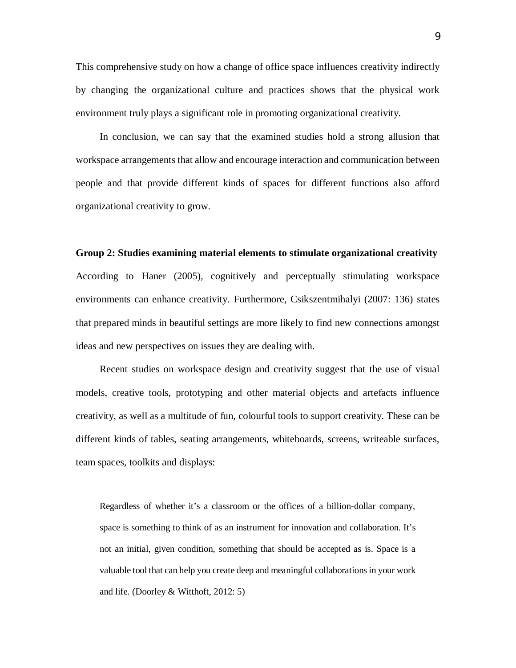This comprehensive study on how a change of office space influences creativity indirectly by changing the organizational culture and practices shows that the physical work environment truly plays a significant role in promoting organizational creativity.

In conclusion, we can say that the examined studies hold a strong allusion that workspace arrangements that allow and encourage interaction and communication between people and that provide different kinds of spaces for different functions also afford organizational creativity to grow.

## **Group 2: Studies examining material elements to stimulate organizational creativity**

According to Haner (2005), cognitively and perceptually stimulating workspace environments can enhance creativity. Furthermore, Csikszentmihalyi (2007: 136) states that prepared minds in beautiful settings are more likely to find new connections amongst ideas and new perspectives on issues they are dealing with.

Recent studies on workspace design and creativity suggest that the use of visual models, creative tools, prototyping and other material objects and artefacts influence creativity, as well as a multitude of fun, colourful tools to support creativity. These can be different kinds of tables, seating arrangements, whiteboards, screens, writeable surfaces, team spaces, toolkits and displays:

Regardless of whether it's a classroom or the offices of a billion-dollar company, space is something to think of as an instrument for innovation and collaboration. It's not an initial, given condition, something that should be accepted as is. Space is a valuable tool that can help you create deep and meaningful collaborations in your work and life. (Doorley & Witthoft, 2012: 5)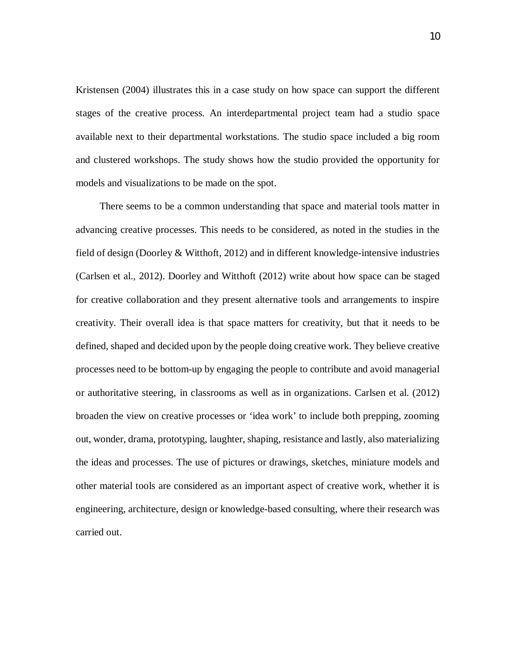Kristensen (2004) illustrates this in a case study on how space can support the different stages of the creative process. An interdepartmental project team had a studio space available next to their departmental workstations. The studio space included a big room and clustered workshops. The study shows how the studio provided the opportunity for models and visualizations to be made on the spot.

There seems to be a common understanding that space and material tools matter in advancing creative processes. This needs to be considered, as noted in the studies in the field of design (Doorley & Witthoft, 2012) and in different knowledge-intensive industries (Carlsen et al., 2012). Doorley and Witthoft (2012) write about how space can be staged for creative collaboration and they present alternative tools and arrangements to inspire creativity. Their overall idea is that space matters for creativity, but that it needs to be defined, shaped and decided upon by the people doing creative work. They believe creative processes need to be bottom-up by engaging the people to contribute and avoid managerial or authoritative steering, in classrooms as well as in organizations. Carlsen et al. (2012) broaden the view on creative processes or 'idea work' to include both prepping, zooming out, wonder, drama, prototyping, laughter, shaping, resistance and lastly, also materializing the ideas and processes. The use of pictures or drawings, sketches, miniature models and other material tools are considered as an important aspect of creative work, whether it is engineering, architecture, design or knowledge-based consulting, where their research was carried out.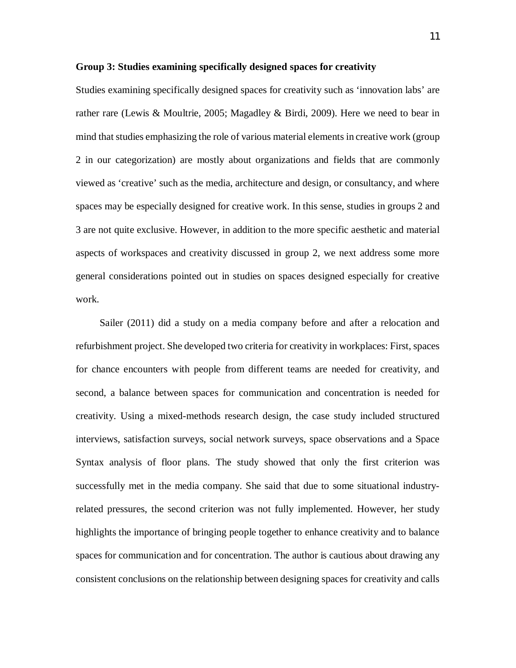## **Group 3: Studies examining specifically designed spaces for creativity**

Studies examining specifically designed spaces for creativity such as 'innovation labs' are rather rare (Lewis & Moultrie, 2005; Magadley & Birdi, 2009). Here we need to bear in mind that studies emphasizing the role of various material elements in creative work (group 2 in our categorization) are mostly about organizations and fields that are commonly viewed as 'creative' such as the media, architecture and design, or consultancy, and where spaces may be especially designed for creative work. In this sense, studies in groups 2 and 3 are not quite exclusive. However, in addition to the more specific aesthetic and material aspects of workspaces and creativity discussed in group 2, we next address some more general considerations pointed out in studies on spaces designed especially for creative work.

Sailer (2011) did a study on a media company before and after a relocation and refurbishment project. She developed two criteria for creativity in workplaces: First, spaces for chance encounters with people from different teams are needed for creativity, and second, a balance between spaces for communication and concentration is needed for creativity. Using a mixed-methods research design, the case study included structured interviews, satisfaction surveys, social network surveys, space observations and a Space Syntax analysis of floor plans. The study showed that only the first criterion was successfully met in the media company. She said that due to some situational industryrelated pressures, the second criterion was not fully implemented. However, her study highlights the importance of bringing people together to enhance creativity and to balance spaces for communication and for concentration. The author is cautious about drawing any consistent conclusions on the relationship between designing spaces for creativity and calls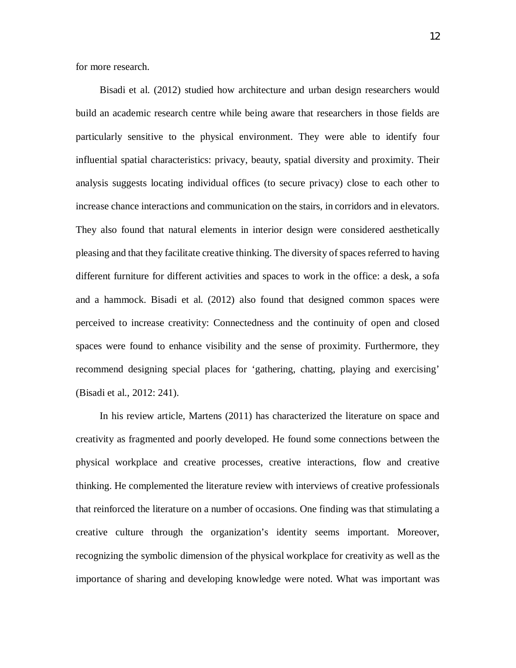for more research.

Bisadi et al. (2012) studied how architecture and urban design researchers would build an academic research centre while being aware that researchers in those fields are particularly sensitive to the physical environment. They were able to identify four influential spatial characteristics: privacy, beauty, spatial diversity and proximity. Their analysis suggests locating individual offices (to secure privacy) close to each other to increase chance interactions and communication on the stairs, in corridors and in elevators. They also found that natural elements in interior design were considered aesthetically pleasing and that they facilitate creative thinking. The diversity of spaces referred to having different furniture for different activities and spaces to work in the office: a desk, a sofa and a hammock. Bisadi et al. (2012) also found that designed common spaces were perceived to increase creativity: Connectedness and the continuity of open and closed spaces were found to enhance visibility and the sense of proximity. Furthermore, they recommend designing special places for 'gathering, chatting, playing and exercising' (Bisadi et al., 2012: 241).

In his review article, Martens (2011) has characterized the literature on space and creativity as fragmented and poorly developed. He found some connections between the physical workplace and creative processes, creative interactions, flow and creative thinking. He complemented the literature review with interviews of creative professionals that reinforced the literature on a number of occasions. One finding was that stimulating a creative culture through the organization's identity seems important. Moreover, recognizing the symbolic dimension of the physical workplace for creativity as well as the importance of sharing and developing knowledge were noted. What was important was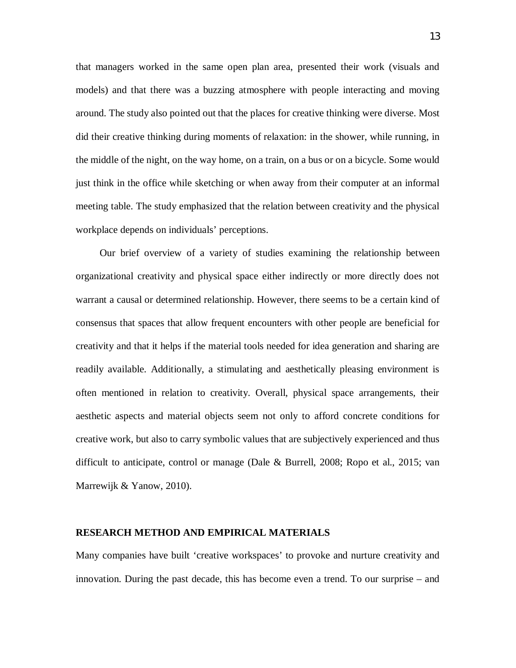that managers worked in the same open plan area, presented their work (visuals and models) and that there was a buzzing atmosphere with people interacting and moving around. The study also pointed out that the places for creative thinking were diverse. Most did their creative thinking during moments of relaxation: in the shower, while running, in the middle of the night, on the way home, on a train, on a bus or on a bicycle. Some would just think in the office while sketching or when away from their computer at an informal meeting table. The study emphasized that the relation between creativity and the physical workplace depends on individuals' perceptions.

Our brief overview of a variety of studies examining the relationship between organizational creativity and physical space either indirectly or more directly does not warrant a causal or determined relationship. However, there seems to be a certain kind of consensus that spaces that allow frequent encounters with other people are beneficial for creativity and that it helps if the material tools needed for idea generation and sharing are readily available. Additionally, a stimulating and aesthetically pleasing environment is often mentioned in relation to creativity. Overall, physical space arrangements, their aesthetic aspects and material objects seem not only to afford concrete conditions for creative work, but also to carry symbolic values that are subjectively experienced and thus difficult to anticipate, control or manage (Dale & Burrell, 2008; Ropo et al., 2015; van Marrewijk & Yanow, 2010).

#### **RESEARCH METHOD AND EMPIRICAL MATERIALS**

Many companies have built 'creative workspaces' to provoke and nurture creativity and innovation. During the past decade, this has become even a trend. To our surprise – and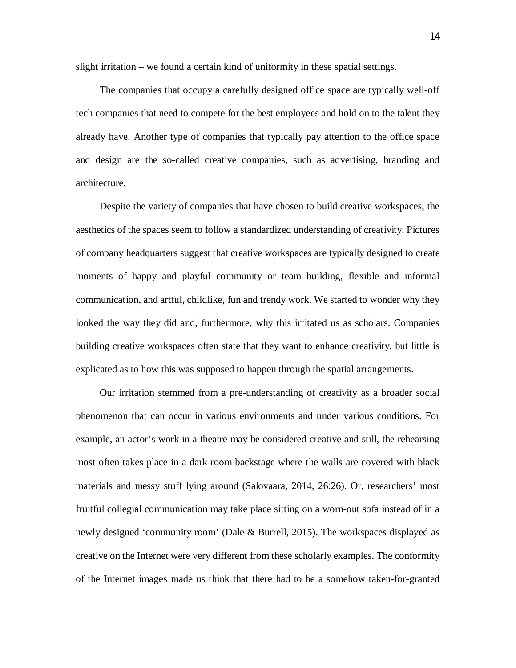slight irritation – we found a certain kind of uniformity in these spatial settings.

The companies that occupy a carefully designed office space are typically well-off tech companies that need to compete for the best employees and hold on to the talent they already have. Another type of companies that typically pay attention to the office space and design are the so-called creative companies, such as advertising, branding and architecture.

Despite the variety of companies that have chosen to build creative workspaces, the aesthetics of the spaces seem to follow a standardized understanding of creativity. Pictures of company headquarters suggest that creative workspaces are typically designed to create moments of happy and playful community or team building, flexible and informal communication, and artful, childlike, fun and trendy work. We started to wonder why they looked the way they did and, furthermore, why this irritated us as scholars. Companies building creative workspaces often state that they want to enhance creativity, but little is explicated as to how this was supposed to happen through the spatial arrangements.

Our irritation stemmed from a pre-understanding of creativity as a broader social phenomenon that can occur in various environments and under various conditions. For example, an actor's work in a theatre may be considered creative and still, the rehearsing most often takes place in a dark room backstage where the walls are covered with black materials and messy stuff lying around (Salovaara, 2014, 26:26). Or, researchers' most fruitful collegial communication may take place sitting on a worn-out sofa instead of in a newly designed 'community room' (Dale & Burrell, 2015). The workspaces displayed as creative on the Internet were very different from these scholarly examples. The conformity of the Internet images made us think that there had to be a somehow taken-for-granted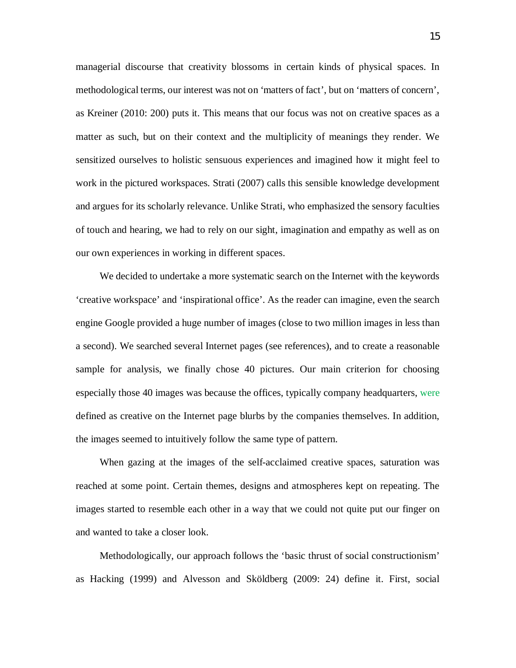managerial discourse that creativity blossoms in certain kinds of physical spaces. In methodological terms, our interest was not on 'matters of fact', but on 'matters of concern', as Kreiner (2010: 200) puts it. This means that our focus was not on creative spaces as a matter as such, but on their context and the multiplicity of meanings they render. We sensitized ourselves to holistic sensuous experiences and imagined how it might feel to work in the pictured workspaces. Strati (2007) calls this sensible knowledge development and argues for its scholarly relevance. Unlike Strati, who emphasized the sensory faculties of touch and hearing, we had to rely on our sight, imagination and empathy as well as on our own experiences in working in different spaces.

We decided to undertake a more systematic search on the Internet with the keywords 'creative workspace' and 'inspirational office'. As the reader can imagine, even the search engine Google provided a huge number of images (close to two million images in less than a second). We searched several Internet pages (see references), and to create a reasonable sample for analysis, we finally chose 40 pictures. Our main criterion for choosing especially those 40 images was because the offices, typically company headquarters, were defined as creative on the Internet page blurbs by the companies themselves. In addition, the images seemed to intuitively follow the same type of pattern.

When gazing at the images of the self-acclaimed creative spaces, saturation was reached at some point. Certain themes, designs and atmospheres kept on repeating. The images started to resemble each other in a way that we could not quite put our finger on and wanted to take a closer look.

Methodologically, our approach follows the 'basic thrust of social constructionism' as Hacking (1999) and Alvesson and Sköldberg (2009: 24) define it. First, social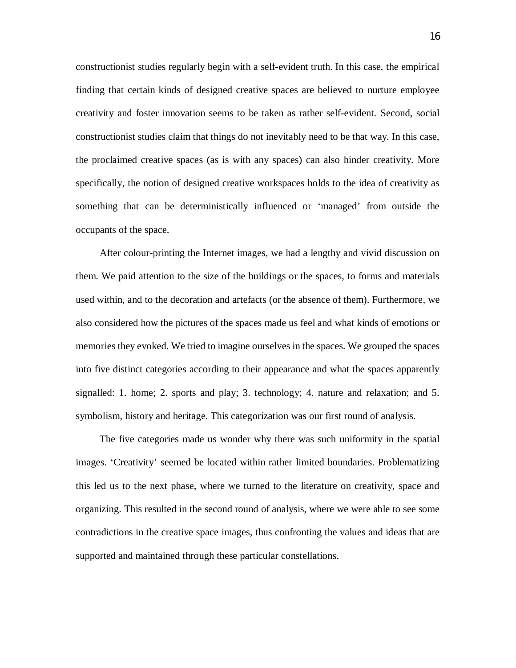constructionist studies regularly begin with a self-evident truth. In this case, the empirical finding that certain kinds of designed creative spaces are believed to nurture employee creativity and foster innovation seems to be taken as rather self-evident. Second, social constructionist studies claim that things do not inevitably need to be that way. In this case, the proclaimed creative spaces (as is with any spaces) can also hinder creativity. More specifically, the notion of designed creative workspaces holds to the idea of creativity as something that can be deterministically influenced or 'managed' from outside the occupants of the space.

After colour-printing the Internet images, we had a lengthy and vivid discussion on them. We paid attention to the size of the buildings or the spaces, to forms and materials used within, and to the decoration and artefacts (or the absence of them). Furthermore, we also considered how the pictures of the spaces made us feel and what kinds of emotions or memories they evoked. We tried to imagine ourselves in the spaces. We grouped the spaces into five distinct categories according to their appearance and what the spaces apparently signalled: 1. home; 2. sports and play; 3. technology; 4. nature and relaxation; and 5. symbolism, history and heritage. This categorization was our first round of analysis.

The five categories made us wonder why there was such uniformity in the spatial images. 'Creativity' seemed be located within rather limited boundaries. Problematizing this led us to the next phase, where we turned to the literature on creativity, space and organizing. This resulted in the second round of analysis, where we were able to see some contradictions in the creative space images, thus confronting the values and ideas that are supported and maintained through these particular constellations.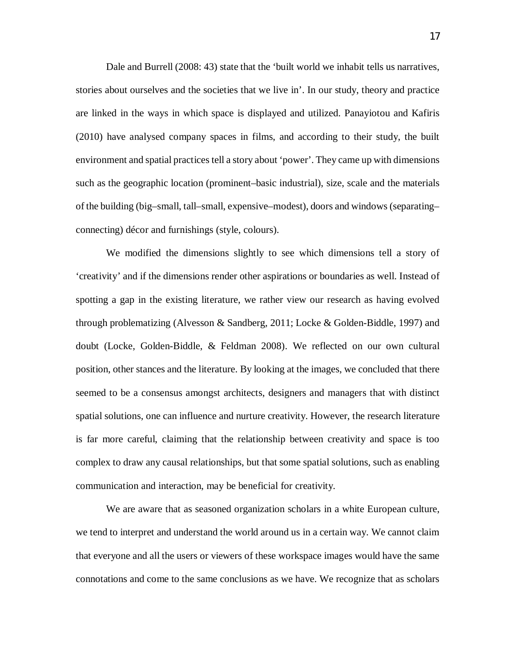Dale and Burrell (2008: 43) state that the 'built world we inhabit tells us narratives, stories about ourselves and the societies that we live in'. In our study, theory and practice are linked in the ways in which space is displayed and utilized. Panayiotou and Kafiris (2010) have analysed company spaces in films, and according to their study, the built environment and spatial practices tell a story about 'power'. They came up with dimensions such as the geographic location (prominent–basic industrial), size, scale and the materials of the building (big–small, tall–small, expensive–modest), doors and windows (separating– connecting) décor and furnishings (style, colours).

We modified the dimensions slightly to see which dimensions tell a story of 'creativity' and if the dimensions render other aspirations or boundaries as well. Instead of spotting a gap in the existing literature, we rather view our research as having evolved through problematizing (Alvesson & Sandberg, 2011; Locke & Golden-Biddle, 1997) and doubt (Locke, Golden-Biddle, & Feldman 2008). We reflected on our own cultural position, other stances and the literature. By looking at the images, we concluded that there seemed to be a consensus amongst architects, designers and managers that with distinct spatial solutions, one can influence and nurture creativity. However, the research literature is far more careful, claiming that the relationship between creativity and space is too complex to draw any causal relationships, but that some spatial solutions, such as enabling communication and interaction, may be beneficial for creativity.

We are aware that as seasoned organization scholars in a white European culture, we tend to interpret and understand the world around us in a certain way. We cannot claim that everyone and all the users or viewers of these workspace images would have the same connotations and come to the same conclusions as we have. We recognize that as scholars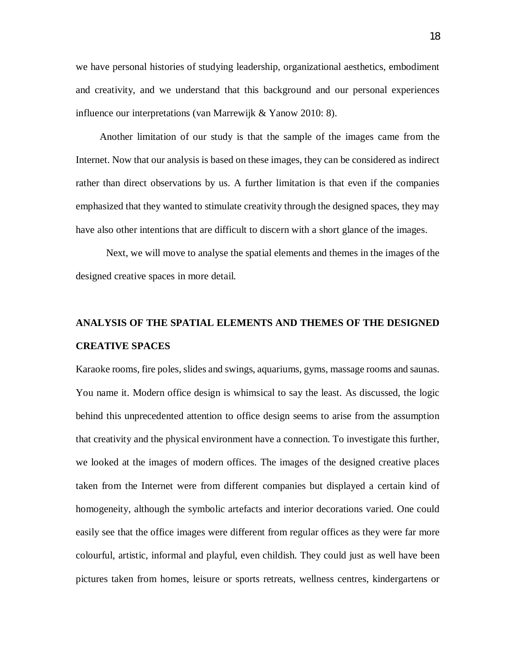we have personal histories of studying leadership, organizational aesthetics, embodiment and creativity, and we understand that this background and our personal experiences influence our interpretations (van Marrewijk & Yanow 2010: 8).

Another limitation of our study is that the sample of the images came from the Internet. Now that our analysis is based on these images, they can be considered as indirect rather than direct observations by us. A further limitation is that even if the companies emphasized that they wanted to stimulate creativity through the designed spaces, they may have also other intentions that are difficult to discern with a short glance of the images.

Next, we will move to analyse the spatial elements and themes in the images of the designed creative spaces in more detail.

## **ANALYSIS OF THE SPATIAL ELEMENTS AND THEMES OF THE DESIGNED CREATIVE SPACES**

Karaoke rooms, fire poles, slides and swings, aquariums, gyms, massage rooms and saunas. You name it. Modern office design is whimsical to say the least. As discussed, the logic behind this unprecedented attention to office design seems to arise from the assumption that creativity and the physical environment have a connection. To investigate this further, we looked at the images of modern offices. The images of the designed creative places taken from the Internet were from different companies but displayed a certain kind of homogeneity, although the symbolic artefacts and interior decorations varied. One could easily see that the office images were different from regular offices as they were far more colourful, artistic, informal and playful, even childish. They could just as well have been pictures taken from homes, leisure or sports retreats, wellness centres, kindergartens or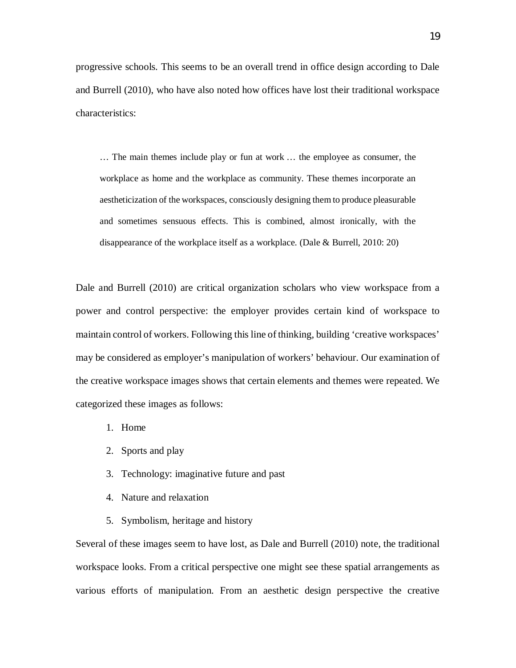progressive schools. This seems to be an overall trend in office design according to Dale and Burrell (2010), who have also noted how offices have lost their traditional workspace characteristics:

… The main themes include play or fun at work … the employee as consumer, the workplace as home and the workplace as community. These themes incorporate an aestheticization of the workspaces, consciously designing them to produce pleasurable and sometimes sensuous effects. This is combined, almost ironically, with the disappearance of the workplace itself as a workplace. (Dale & Burrell, 2010: 20)

Dale and Burrell (2010) are critical organization scholars who view workspace from a power and control perspective: the employer provides certain kind of workspace to maintain control of workers. Following this line of thinking, building 'creative workspaces' may be considered as employer's manipulation of workers' behaviour. Our examination of the creative workspace images shows that certain elements and themes were repeated. We categorized these images as follows:

- 1. Home
- 2. Sports and play
- 3. Technology: imaginative future and past
- 4. Nature and relaxation
- 5. Symbolism, heritage and history

Several of these images seem to have lost, as Dale and Burrell (2010) note, the traditional workspace looks. From a critical perspective one might see these spatial arrangements as various efforts of manipulation. From an aesthetic design perspective the creative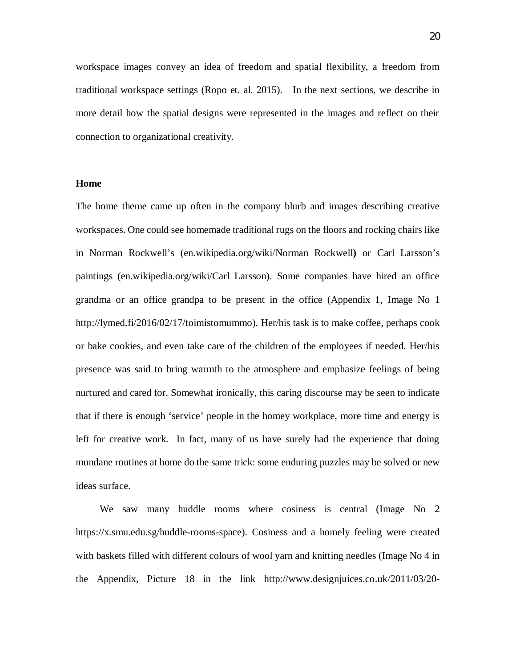workspace images convey an idea of freedom and spatial flexibility, a freedom from traditional workspace settings (Ropo et. al. 2015). In the next sections, we describe in more detail how the spatial designs were represented in the images and reflect on their connection to organizational creativity.

## **Home**

The home theme came up often in the company blurb and images describing creative workspaces. One could see homemade traditional rugs on the floors and rocking chairs like in Norman Rockwell's (en.wikipedia.org/wiki/Norman Rockwell**)** or Carl Larsson's paintings (en.wikipedia.org/wiki/Carl Larsson). Some companies have hired an office grandma or an office grandpa to be present in the office (Appendix 1, Image No 1 [http://lymed.fi/2016/02/17/toimistomummo\)](http://lymed.fi/2016/02/17/toimistomummo). Her/his task is to make coffee, perhaps cook or bake cookies, and even take care of the children of the employees if needed. Her/his presence was said to bring warmth to the atmosphere and emphasize feelings of being nurtured and cared for. Somewhat ironically, this caring discourse may be seen to indicate that if there is enough 'service' people in the homey workplace, more time and energy is left for creative work. In fact, many of us have surely had the experience that doing mundane routines at home do the same trick: some enduring puzzles may be solved or new ideas surface.

We saw many huddle rooms where cosiness is central (Image No 2 [https://x.smu.edu.sg/huddle-rooms-space\)](https://x.smu.edu.sg/huddle-rooms-space). Cosiness and a homely feeling were created with baskets filled with different colours of wool yarn and knitting needles (Image No 4 in the Appendix, Picture 18 in the link [http://www.designjuices.co.uk/2011/03/20-](http://www.designjuices.co.uk/2011/03/20-inspirational-office-workspace-designs)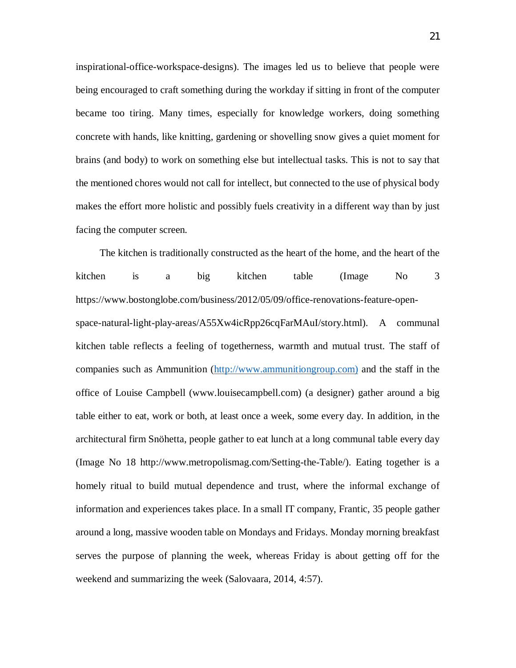[inspirational-office-workspace-designs\)](http://www.designjuices.co.uk/2011/03/20-inspirational-office-workspace-designs). The images led us to believe that people were being encouraged to craft something during the workday if sitting in front of the computer became too tiring. Many times, especially for knowledge workers, doing something concrete with hands, like knitting, gardening or shovelling snow gives a quiet moment for brains (and body) to work on something else but intellectual tasks. This is not to say that the mentioned chores would not call for intellect, but connected to the use of physical body makes the effort more holistic and possibly fuels creativity in a different way than by just facing the computer screen.

The kitchen is traditionally constructed as the heart of the home, and the heart of the kitchen is a big kitchen table (Image No 3 [https://www.bostonglobe.com/business/2012/05/09/office-renovations-feature-open](https://www.bostonglobe.com/business/2012/05/09/office-renovations-feature-open-space-natural-light-play-areas/A55Xw4icRpp26cqFarMAuI/story.html)[space-natural-light-play-areas/A55Xw4icRpp26cqFarMAuI/story.html\)](https://www.bostonglobe.com/business/2012/05/09/office-renovations-feature-open-space-natural-light-play-areas/A55Xw4icRpp26cqFarMAuI/story.html). A communal kitchen table reflects a feeling of togetherness, warmth and mutual trust. The staff of companies such as Ammunition ([http://www.ammunitiongroup.com\)](http://www.ammunitiongroup.com)/) and the staff in the office of Louise Campbell ([www.louisecampbell.com\)](http://www.louisecampbell.com/) (a designer) gather around a big table either to eat, work or both, at least once a week, some every day. In addition, in the architectural firm Snöhetta, people gather to eat lunch at a long communal table every day (Image No 18 [http://www.metropolismag.com/Setting-the-Table/\).](http://www.metropolismag.com/Setting-the-Table/)) Eating together is a homely ritual to build mutual dependence and trust, where the informal exchange of information and experiences takes place. In a small IT company, Frantic, 35 people gather around a long, massive wooden table on Mondays and Fridays. Monday morning breakfast serves the purpose of planning the week, whereas Friday is about getting off for the weekend and summarizing the week (Salovaara, 2014, 4:57).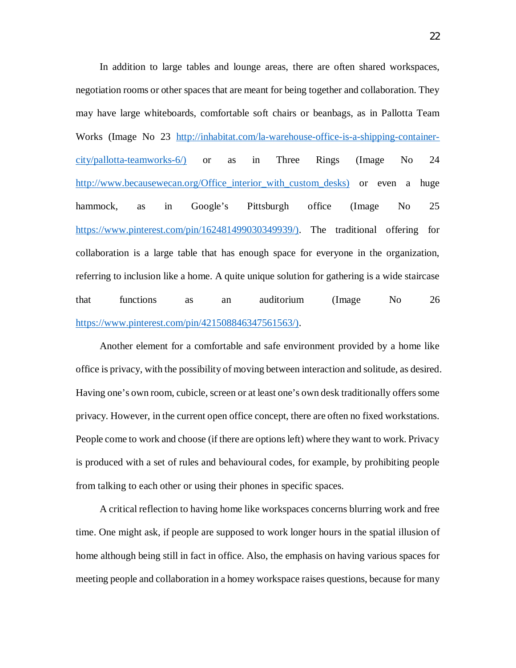In addition to large tables and lounge areas, there are often shared workspaces, negotiation rooms or other spaces that are meant for being together and collaboration. They may have large whiteboards, comfortable soft chairs or beanbags, as in Pallotta Team Works (Image No 23 [http://inhabitat.com/la-warehouse-office-is-a-shipping-container](http://inhabitat.com/la-warehouse-office-is-a-shipping-container-city/pallotta-teamworks-6/))[city/pallotta-teamworks-6/\)](http://inhabitat.com/la-warehouse-office-is-a-shipping-container-city/pallotta-teamworks-6/)) or as in Three Rings (Image No 24 [http://www.becausewecan.org/Office\\_interior\\_with\\_custom\\_desks\)](http://www.becausewecan.org/Office_interior_with_custom_desks)) or even a huge hammock, as in Google's Pittsburgh office (Image No 25 [https://www.pinterest.com/pin/162481499030349939/\).](https://www.pinterest.com/pin/162481499030349939/)) The traditional offering for collaboration is a large table that has enough space for everyone in the organization, referring to inclusion like a home. A quite unique solution for gathering is a wide staircase that functions as an auditorium (Image No 26 [https://www.pinterest.com/pin/421508846347561563/\).](https://www.pinterest.com/pin/421508846347561563/))

Another element for a comfortable and safe environment provided by a home like office is privacy, with the possibility of moving between interaction and solitude, as desired. Having one's own room, cubicle, screen or at least one's own desk traditionally offers some privacy. However, in the current open office concept, there are often no fixed workstations. People come to work and choose (if there are options left) where they want to work. Privacy is produced with a set of rules and behavioural codes, for example, by prohibiting people from talking to each other or using their phones in specific spaces.

A critical reflection to having home like workspaces concerns blurring work and free time. One might ask, if people are supposed to work longer hours in the spatial illusion of home although being still in fact in office. Also, the emphasis on having various spaces for meeting people and collaboration in a homey workspace raises questions, because for many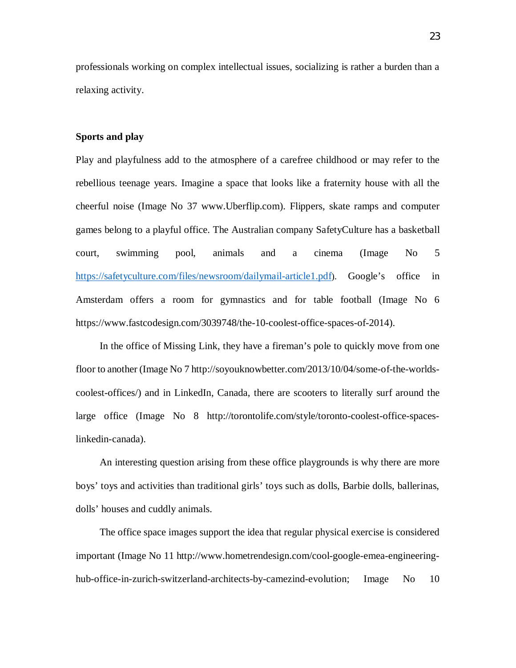professionals working on complex intellectual issues, socializing is rather a burden than a relaxing activity.

## **Sports and play**

Play and playfulness add to the atmosphere of a carefree childhood or may refer to the rebellious teenage years. Imagine a space that looks like a fraternity house with all the cheerful noise (Image No 37 [www.Uberflip.com\)](http://www.uberflip.com)/). Flippers, skate ramps and computer games belong to a playful office. The Australian company SafetyCulture has a basketball court, swimming pool, animals and a cinema (Image No 5 <https://safetyculture.com/files/newsroom/dailymail-article1.pdf>). Google's office in Amsterdam offers a room for gymnastics and for table football (Image No 6 [https://www.fastcodesign.com/3039748/the-10-coolest-office-spaces-of-2014\)](https://www.fastcodesign.com/3039748/the-10-coolest-office-spaces-of-2014).

In the office of Missing Link, they have a fireman's pole to quickly move from one floor to another (Image No 7 [http://soyouknowbetter.com/2013/10/04/some-of-the-worlds](http://soyouknowbetter.com/2013/10/04/some-of-the-worlds-coolest-offices/)[coolest-offices/\)](http://soyouknowbetter.com/2013/10/04/some-of-the-worlds-coolest-offices/) and in LinkedIn, Canada, there are scooters to literally surf around the large office (Image No 8 [http://torontolife.com/style/toronto-coolest-office-spaces](http://torontolife.com/style/toronto-coolest-office-spaces-linkedin-canada)[linkedin-canada](http://torontolife.com/style/toronto-coolest-office-spaces-linkedin-canada)).

An interesting question arising from these office playgrounds is why there are more boys' toys and activities than traditional girls' toys such as dolls, Barbie dolls, ballerinas, dolls' houses and cuddly animals.

The office space images support the idea that regular physical exercise is considered important (Image No 11 [http://www.hometrendesign.com/cool-google-emea-engineering](http://www.hometrendesign.com/cool-google-emea-engineering-hub-office-in-zurich-switzerland-architects-by-camezind-evolution)[hub-office-in-zurich-switzerland-architects-by-camezind-evolution;](http://www.hometrendesign.com/cool-google-emea-engineering-hub-office-in-zurich-switzerland-architects-by-camezind-evolution) Image No 10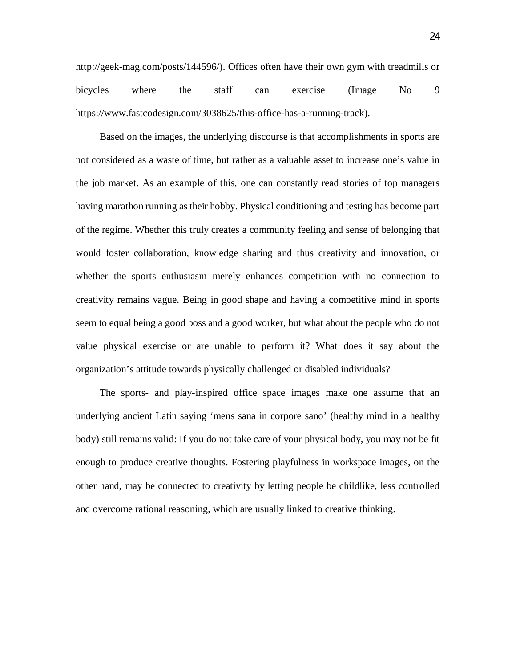<http://geek-mag.com/posts/144596/>). Offices often have their own gym with treadmills or bicycles where the staff can exercise (Image No 9 [https://www.fastcodesign.com/3038625/this-office-has-a-running-track\)](https://www.fastcodesign.com/3038625/this-office-has-a-running-track)).

Based on the images, the underlying discourse is that accomplishments in sports are not considered as a waste of time, but rather as a valuable asset to increase one's value in the job market. As an example of this, one can constantly read stories of top managers having marathon running as their hobby. Physical conditioning and testing has become part of the regime. Whether this truly creates a community feeling and sense of belonging that would foster collaboration, knowledge sharing and thus creativity and innovation, or whether the sports enthusiasm merely enhances competition with no connection to creativity remains vague. Being in good shape and having a competitive mind in sports seem to equal being a good boss and a good worker, but what about the people who do not value physical exercise or are unable to perform it? What does it say about the organization's attitude towards physically challenged or disabled individuals?

The sports- and play-inspired office space images make one assume that an underlying ancient Latin saying 'mens sana in corpore sano' (healthy mind in a healthy body) still remains valid: If you do not take care of your physical body, you may not be fit enough to produce creative thoughts. Fostering playfulness in workspace images, on the other hand, may be connected to creativity by letting people be childlike, less controlled and overcome rational reasoning, which are usually linked to creative thinking.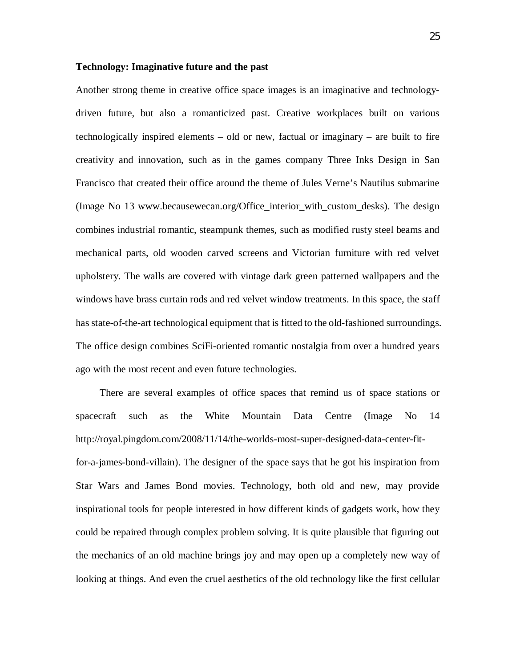## **Technology: Imaginative future and the past**

Another strong theme in creative office space images is an imaginative and technologydriven future, but also a romanticized past. Creative workplaces built on various technologically inspired elements – old or new, factual or imaginary – are built to fire creativity and innovation, such as in the games company Three Inks Design in San Francisco that created their office around the theme of Jules Verne's Nautilus submarine (Image No 13 [www.becausewecan.org/Office\\_interior\\_with\\_custom\\_desks\)](http://www.becausewecan.org/Office_interior_with_custom_desks). The design combines industrial romantic, steampunk themes, such as modified rusty steel beams and mechanical parts, old wooden carved screens and Victorian furniture with red velvet upholstery. The walls are covered with vintage dark green patterned wallpapers and the windows have brass curtain rods and red velvet window treatments. In this space, the staff has state-of-the-art technological equipment that is fitted to the old-fashioned surroundings. The office design combines SciFi-oriented romantic nostalgia from over a hundred years ago with the most recent and even future technologies.

There are several examples of office spaces that remind us of space stations or spacecraft such as the White Mountain Data Centre (Image No 14 [http://royal.pingdom.com/2008/11/14/the-worlds-most-super-designed-data-center-fit](http://royal.pingdom.com/2008/11/14/the-worlds-most-super-designed-data-center-fit-for-a-james-bond-villain))[for-a-james-bond-villain\).](http://royal.pingdom.com/2008/11/14/the-worlds-most-super-designed-data-center-fit-for-a-james-bond-villain)) The designer of the space says that he got his inspiration from Star Wars and James Bond movies. Technology, both old and new, may provide inspirational tools for people interested in how different kinds of gadgets work, how they could be repaired through complex problem solving. It is quite plausible that figuring out the mechanics of an old machine brings joy and may open up a completely new way of looking at things. And even the cruel aesthetics of the old technology like the first cellular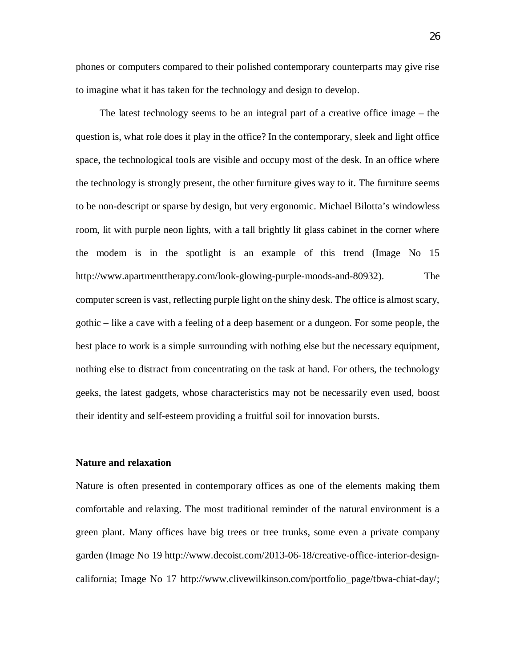phones or computers compared to their polished contemporary counterparts may give rise to imagine what it has taken for the technology and design to develop.

The latest technology seems to be an integral part of a creative office image – the question is, what role does it play in the office? In the contemporary, sleek and light office space, the technological tools are visible and occupy most of the desk. In an office where the technology is strongly present, the other furniture gives way to it. The furniture seems to be non-descript or sparse by design, but very ergonomic. Michael Bilotta's windowless room, lit with purple neon lights, with a tall brightly lit glass cabinet in the corner where the modem is in the spotlight is an example of this trend (Image No 15 [http://www.apartmenttherapy.com/look-glowing-purple-moods-and-80932\).](http://www.apartmenttherapy.com/look-glowing-purple-moods-and-80932)) The computer screen is vast, reflecting purple light on the shiny desk. The office is almost scary, gothic – like a cave with a feeling of a deep basement or a dungeon. For some people, the best place to work is a simple surrounding with nothing else but the necessary equipment, nothing else to distract from concentrating on the task at hand. For others, the technology geeks, the latest gadgets, whose characteristics may not be necessarily even used, boost their identity and self-esteem providing a fruitful soil for innovation bursts.

#### **Nature and relaxation**

Nature is often presented in contemporary offices as one of the elements making them comfortable and relaxing. The most traditional reminder of the natural environment is a green plant. Many offices have big trees or tree trunks, some even a private company garden (Image No 19 [http://www.decoist.com/2013-06-18/creative-office-interior-design](http://www.decoist.com/2013-06-18/creative-office-interior-design-california)[california;](http://www.decoist.com/2013-06-18/creative-office-interior-design-california) Image No 17 [http://www.clivewilkinson.com/portfolio\\_page/tbwa-chiat-day/;](http://www.clivewilkinson.com/portfolio_page/tbwa-chiat-day/)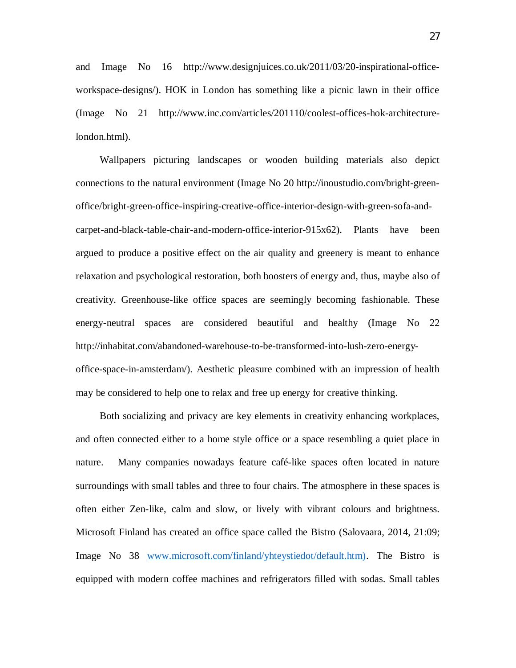and Image No 16 [http://www.designjuices.co.uk/2011/03/20-inspirational-office](http://www.designjuices.co.uk/2011/03/20-inspirational-office-workspace-designs/)[workspace-designs/](http://www.designjuices.co.uk/2011/03/20-inspirational-office-workspace-designs/)). HOK in London has something like a picnic lawn in their office (Image No 21 [http://www.inc.com/articles/201110/coolest-offices-hok-architecture](http://www.inc.com/articles/201110/coolest-offices-hok-architecture-london.html)[london.html](http://www.inc.com/articles/201110/coolest-offices-hok-architecture-london.html)).

Wallpapers picturing landscapes or wooden building materials also depict connections to the natural environment (Image No 20 [http://inoustudio.com/bright-green](http://inoustudio.com/bright-green-office/bright-green-office-inspiring-creative-office-interior-design-with-green-sofa-and-carpet-and-black-table-chair-and-modern-office-interior-915x62)[office/bright-green-office-inspiring-creative-office-interior-design-with-green-sofa-and](http://inoustudio.com/bright-green-office/bright-green-office-inspiring-creative-office-interior-design-with-green-sofa-and-carpet-and-black-table-chair-and-modern-office-interior-915x62)[carpet-and-black-table-chair-and-modern-office-interior-915x62](http://inoustudio.com/bright-green-office/bright-green-office-inspiring-creative-office-interior-design-with-green-sofa-and-carpet-and-black-table-chair-and-modern-office-interior-915x62)). Plants have been argued to produce a positive effect on the air quality and greenery is meant to enhance relaxation and psychological restoration, both boosters of energy and, thus, maybe also of creativity. Greenhouse-like office spaces are seemingly becoming fashionable. These energy-neutral spaces are considered beautiful and healthy (Image No 22 [http://inhabitat.com/abandoned-warehouse-to-be-transformed-into-lush-zero-energy](http://inhabitat.com/abandoned-warehouse-to-be-transformed-into-lush-zero-energy-office-space-in-amsterdam/)[office-space-in-amsterdam/\)](http://inhabitat.com/abandoned-warehouse-to-be-transformed-into-lush-zero-energy-office-space-in-amsterdam/). Aesthetic pleasure combined with an impression of health may be considered to help one to relax and free up energy for creative thinking.

Both socializing and privacy are key elements in creativity enhancing workplaces, and often connected either to a home style office or a space resembling a quiet place in nature. Many companies nowadays feature café-like spaces often located in nature surroundings with small tables and three to four chairs. The atmosphere in these spaces is often either Zen-like, calm and slow, or lively with vibrant colours and brightness. Microsoft Finland has created an office space called the Bistro (Salovaara, 2014, 21:09; Image No 38 [www.microsoft.com/finland/yhteystiedot/default.htm\).](http://www.microsoft.com/finland/yhteystiedot/default.htm)) The Bistro is equipped with modern coffee machines and refrigerators filled with sodas. Small tables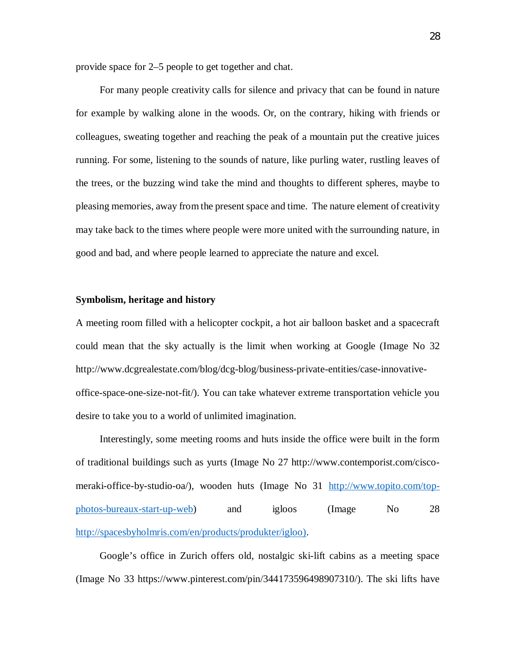provide space for 2–5 people to get together and chat.

For many people creativity calls for silence and privacy that can be found in nature for example by walking alone in the woods. Or, on the contrary, hiking with friends or colleagues, sweating together and reaching the peak of a mountain put the creative juices running. For some, listening to the sounds of nature, like purling water, rustling leaves of the trees, or the buzzing wind take the mind and thoughts to different spheres, maybe to pleasing memories, away from the present space and time. The nature element of creativity may take back to the times where people were more united with the surrounding nature, in good and bad, and where people learned to appreciate the nature and excel.

## **Symbolism, heritage and history**

A meeting room filled with a helicopter cockpit, a hot air balloon basket and a spacecraft could mean that the sky actually is the limit when working at Google (Image No 32 [http://www.dcgrealestate.com/blog/dcg-blog/business-private-entities/case-innovative](http://www.dcgrealestate.com/blog/dcg-blog/business-private-entities/case-innovative-office-space-one-size-not-fit/)[office-space-one-size-not-fit/\)](http://www.dcgrealestate.com/blog/dcg-blog/business-private-entities/case-innovative-office-space-one-size-not-fit/). You can take whatever extreme transportation vehicle you desire to take you to a world of unlimited imagination.

Interestingly, some meeting rooms and huts inside the office were built in the form of traditional buildings such as yurts (Image No 27 [http://www.contemporist.com/cisco](http://www.contemporist.com/cisco-meraki-office-by-studio-oa/))[meraki-office-by-studio-oa/\)](http://www.contemporist.com/cisco-meraki-office-by-studio-oa/)), wooden huts (Image No 31 [http://www.topito.com/top](http://www.topito.com/top-photos-bureaux-start-up-web)[photos-bureaux-start-up-web\)](http://www.topito.com/top-photos-bureaux-start-up-web) and igloos (Image No 28 [http://spacesbyholmris.com/en/products/produkter/igloo\).](http://spacesbyholmris.com/en/products/produkter/igloo))

Google's office in Zurich offers old, nostalgic ski-lift cabins as a meeting space (Image No 33 [https://www.pinterest.com/pin/344173596498907310/\)](https://www.pinterest.com/pin/344173596498907310/)). The ski lifts have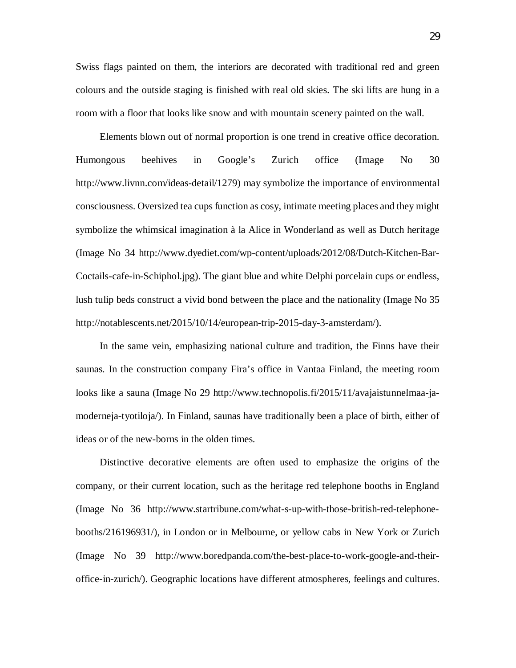Swiss flags painted on them, the interiors are decorated with traditional red and green colours and the outside staging is finished with real old skies. The ski lifts are hung in a room with a floor that looks like snow and with mountain scenery painted on the wall.

Elements blown out of normal proportion is one trend in creative office decoration. Humongous beehives in Google's Zurich office (Image No 30 [http://www.livnn.com/ideas-detail/1279\)](http://www.livnn.com/ideas-detail/1279)) may symbolize the importance of environmental consciousness. Oversized tea cups function as cosy, intimate meeting places and they might symbolize the whimsical imagination à la Alice in Wonderland as well as Dutch heritage (Image No 34 [http://www.dyediet.com/wp-content/uploads/2012/08/Dutch-Kitchen-Bar-](http://www.dyediet.com/wp-content/uploads/2012/08/Dutch-Kitchen-Bar-Coctails-cafe-in-Schiphol.jpg))[Coctails-cafe-in-Schiphol.jpg\).](http://www.dyediet.com/wp-content/uploads/2012/08/Dutch-Kitchen-Bar-Coctails-cafe-in-Schiphol.jpg)) The giant blue and white Delphi porcelain cups or endless, lush tulip beds construct a vivid bond between the place and the nationality (Image No 35 [http://notablescents.net/2015/10/14/european-trip-2015-day-3-amsterdam/\)](http://notablescents.net/2015/10/14/european-trip-2015-day-3-amsterdam/).

In the same vein, emphasizing national culture and tradition, the Finns have their saunas. In the construction company Fira's office in Vantaa Finland, the meeting room looks like a sauna (Image No 29 [http://www.technopolis.fi/2015/11/avajaistunnelmaa-ja](http://www.technopolis.fi/2015/11/avajaistunnelmaa-ja-moderneja-tyotiloja/)[moderneja-tyotiloja/\)](http://www.technopolis.fi/2015/11/avajaistunnelmaa-ja-moderneja-tyotiloja/). In Finland, saunas have traditionally been a place of birth, either of ideas or of the new-borns in the olden times.

Distinctive decorative elements are often used to emphasize the origins of the company, or their current location, such as the heritage red telephone booths in England (Image No 36 [http://www.startribune.com/what-s-up-with-those-british-red-telephone](http://www.startribune.com/what-s-up-with-those-british-red-telephone-booths/216196931/))[booths/216196931/\),](http://www.startribune.com/what-s-up-with-those-british-red-telephone-booths/216196931/)) in London or in Melbourne, or yellow cabs in New York or Zurich (Image No 39 [http://www.boredpanda.com/the-best-place-to-work-google-and-their](http://www.boredpanda.com/the-best-place-to-work-google-and-their-office-in-zurich/))[office-in-zurich/\)](http://www.boredpanda.com/the-best-place-to-work-google-and-their-office-in-zurich/)). Geographic locations have different atmospheres, feelings and cultures.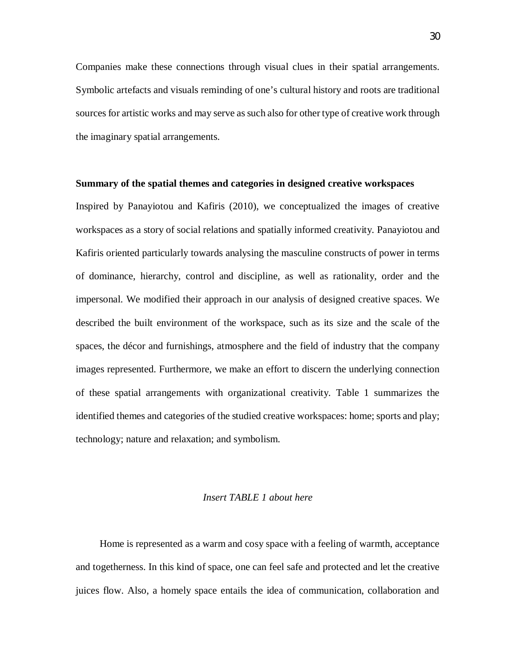Companies make these connections through visual clues in their spatial arrangements. Symbolic artefacts and visuals reminding of one's cultural history and roots are traditional sources for artistic works and may serve as such also for other type of creative work through the imaginary spatial arrangements.

### **Summary of the spatial themes and categories in designed creative workspaces**

Inspired by Panayiotou and Kafiris (2010), we conceptualized the images of creative workspaces as a story of social relations and spatially informed creativity. Panayiotou and Kafiris oriented particularly towards analysing the masculine constructs of power in terms of dominance, hierarchy, control and discipline, as well as rationality, order and the impersonal. We modified their approach in our analysis of designed creative spaces. We described the built environment of the workspace, such as its size and the scale of the spaces, the décor and furnishings, atmosphere and the field of industry that the company images represented. Furthermore, we make an effort to discern the underlying connection of these spatial arrangements with organizational creativity. Table 1 summarizes the identified themes and categories of the studied creative workspaces: home; sports and play; technology; nature and relaxation; and symbolism.

## *Insert TABLE 1 about here*

Home is represented as a warm and cosy space with a feeling of warmth, acceptance and togetherness. In this kind of space, one can feel safe and protected and let the creative juices flow. Also, a homely space entails the idea of communication, collaboration and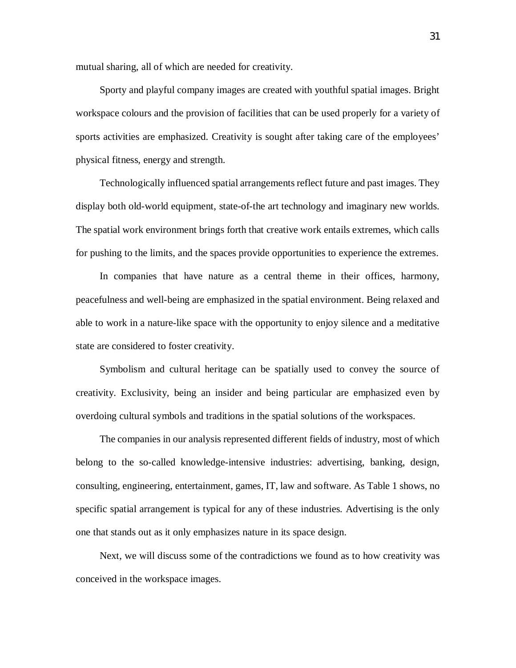mutual sharing, all of which are needed for creativity.

Sporty and playful company images are created with youthful spatial images. Bright workspace colours and the provision of facilities that can be used properly for a variety of sports activities are emphasized. Creativity is sought after taking care of the employees' physical fitness, energy and strength.

Technologically influenced spatial arrangements reflect future and past images. They display both old-world equipment, state-of-the art technology and imaginary new worlds. The spatial work environment brings forth that creative work entails extremes, which calls for pushing to the limits, and the spaces provide opportunities to experience the extremes.

In companies that have nature as a central theme in their offices, harmony, peacefulness and well-being are emphasized in the spatial environment. Being relaxed and able to work in a nature-like space with the opportunity to enjoy silence and a meditative state are considered to foster creativity.

Symbolism and cultural heritage can be spatially used to convey the source of creativity. Exclusivity, being an insider and being particular are emphasized even by overdoing cultural symbols and traditions in the spatial solutions of the workspaces.

The companies in our analysis represented different fields of industry, most of which belong to the so-called knowledge-intensive industries: advertising, banking, design, consulting, engineering, entertainment, games, IT, law and software. As Table 1 shows, no specific spatial arrangement is typical for any of these industries. Advertising is the only one that stands out as it only emphasizes nature in its space design.

Next, we will discuss some of the contradictions we found as to how creativity was conceived in the workspace images.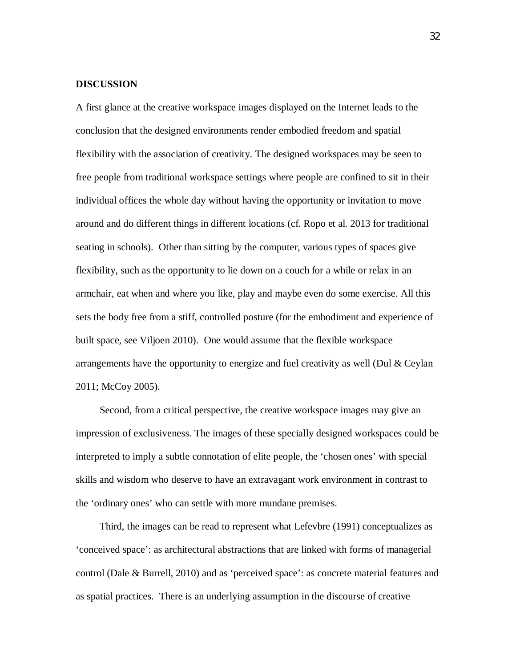## **DISCUSSION**

A first glance at the creative workspace images displayed on the Internet leads to the conclusion that the designed environments render embodied freedom and spatial flexibility with the association of creativity. The designed workspaces may be seen to free people from traditional workspace settings where people are confined to sit in their individual offices the whole day without having the opportunity or invitation to move around and do different things in different locations (cf. Ropo et al. 2013 for traditional seating in schools). Other than sitting by the computer, various types of spaces give flexibility, such as the opportunity to lie down on a couch for a while or relax in an armchair, eat when and where you like, play and maybe even do some exercise. All this sets the body free from a stiff, controlled posture (for the embodiment and experience of built space, see Viljoen 2010). One would assume that the flexible workspace arrangements have the opportunity to energize and fuel creativity as well (Dul  $\&$  Ceylan 2011; McCoy 2005).

Second, from a critical perspective, the creative workspace images may give an impression of exclusiveness. The images of these specially designed workspaces could be interpreted to imply a subtle connotation of elite people, the 'chosen ones' with special skills and wisdom who deserve to have an extravagant work environment in contrast to the 'ordinary ones' who can settle with more mundane premises.

Third, the images can be read to represent what Lefevbre (1991) conceptualizes as 'conceived space': as architectural abstractions that are linked with forms of managerial control (Dale & Burrell, 2010) and as 'perceived space': as concrete material features and as spatial practices. There is an underlying assumption in the discourse of creative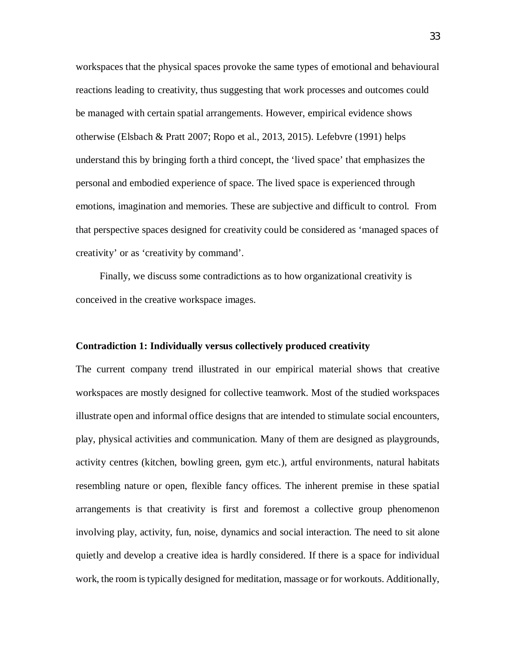workspaces that the physical spaces provoke the same types of emotional and behavioural reactions leading to creativity, thus suggesting that work processes and outcomes could be managed with certain spatial arrangements. However, empirical evidence shows otherwise (Elsbach & Pratt 2007; Ropo et al., 2013, 2015). Lefebvre (1991) helps understand this by bringing forth a third concept, the 'lived space' that emphasizes the personal and embodied experience of space. The lived space is experienced through emotions, imagination and memories. These are subjective and difficult to control. From that perspective spaces designed for creativity could be considered as 'managed spaces of creativity' or as 'creativity by command'.

Finally, we discuss some contradictions as to how organizational creativity is conceived in the creative workspace images.

## **Contradiction 1: Individually versus collectively produced creativity**

The current company trend illustrated in our empirical material shows that creative workspaces are mostly designed for collective teamwork. Most of the studied workspaces illustrate open and informal office designs that are intended to stimulate social encounters, play, physical activities and communication. Many of them are designed as playgrounds, activity centres (kitchen, bowling green, gym etc.), artful environments, natural habitats resembling nature or open, flexible fancy offices. The inherent premise in these spatial arrangements is that creativity is first and foremost a collective group phenomenon involving play, activity, fun, noise, dynamics and social interaction. The need to sit alone quietly and develop a creative idea is hardly considered. If there is a space for individual work, the room is typically designed for meditation, massage or for workouts. Additionally,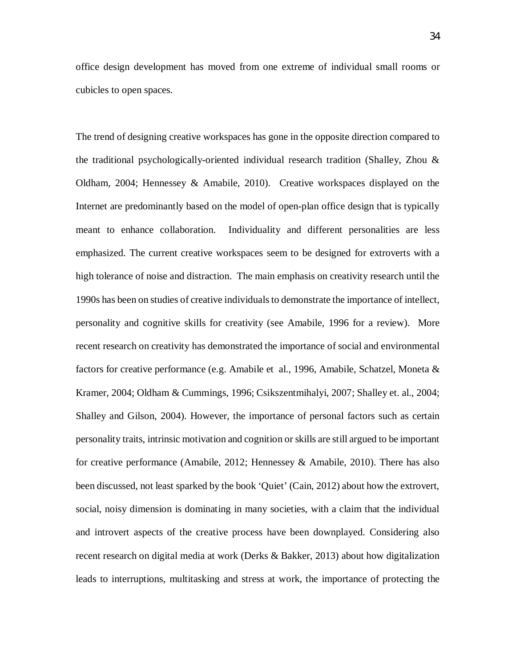office design development has moved from one extreme of individual small rooms or cubicles to open spaces.

The trend of designing creative workspaces has gone in the opposite direction compared to the traditional psychologically-oriented individual research tradition (Shalley, Zhou & Oldham, 2004; Hennessey & Amabile, 2010). Creative workspaces displayed on the Internet are predominantly based on the model of open-plan office design that is typically meant to enhance collaboration. Individuality and different personalities are less emphasized. The current creative workspaces seem to be designed for extroverts with a high tolerance of noise and distraction. The main emphasis on creativity research until the 1990s has been on studies of creative individuals to demonstrate the importance of intellect, personality and cognitive skills for creativity (see Amabile, 1996 for a review). More recent research on creativity has demonstrated the importance of social and environmental factors for creative performance (e.g. Amabile et al., 1996, Amabile, Schatzel, Moneta & Kramer, 2004; Oldham & Cummings, 1996; Csikszentmihalyi, 2007; Shalley et. al., 2004; Shalley and Gilson, 2004). However, the importance of personal factors such as certain personality traits, intrinsic motivation and cognition or skills are still argued to be important for creative performance (Amabile, 2012; Hennessey & Amabile, 2010). There has also been discussed, not least sparked by the book 'Quiet' (Cain, 2012) about how the extrovert, social, noisy dimension is dominating in many societies, with a claim that the individual and introvert aspects of the creative process have been downplayed. Considering also recent research on digital media at work (Derks & Bakker, 2013) about how digitalization leads to interruptions, multitasking and stress at work, the importance of protecting the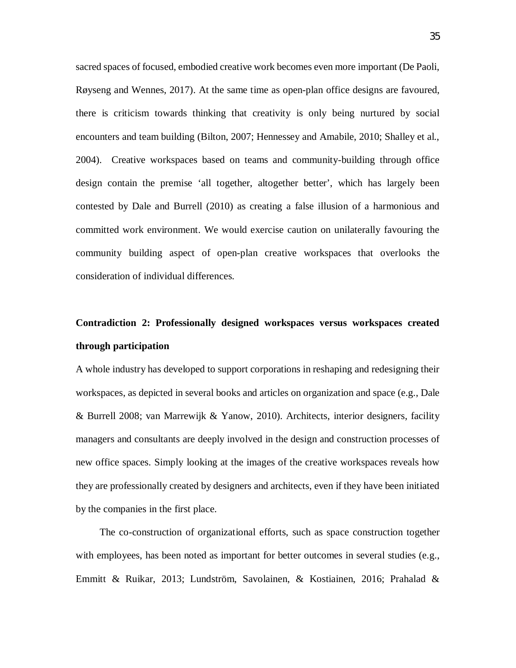sacred spaces of focused, embodied creative work becomes even more important (De Paoli, Røyseng and Wennes, 2017). At the same time as open-plan office designs are favoured, there is criticism towards thinking that creativity is only being nurtured by social encounters and team building (Bilton, 2007; Hennessey and Amabile, 2010; Shalley et al., 2004). Creative workspaces based on teams and community-building through office design contain the premise 'all together, altogether better', which has largely been contested by Dale and Burrell (2010) as creating a false illusion of a harmonious and committed work environment. We would exercise caution on unilaterally favouring the community building aspect of open-plan creative workspaces that overlooks the consideration of individual differences.

# **Contradiction 2: Professionally designed workspaces versus workspaces created through participation**

A whole industry has developed to support corporations in reshaping and redesigning their workspaces, as depicted in several books and articles on organization and space (e.g., Dale & Burrell 2008; van Marrewijk & Yanow, 2010). Architects, interior designers, facility managers and consultants are deeply involved in the design and construction processes of new office spaces. Simply looking at the images of the creative workspaces reveals how they are professionally created by designers and architects, even if they have been initiated by the companies in the first place.

The co-construction of organizational efforts, such as space construction together with employees, has been noted as important for better outcomes in several studies (e.g., Emmitt & Ruikar, 2013; Lundström, Savolainen, & Kostiainen, 2016; Prahalad &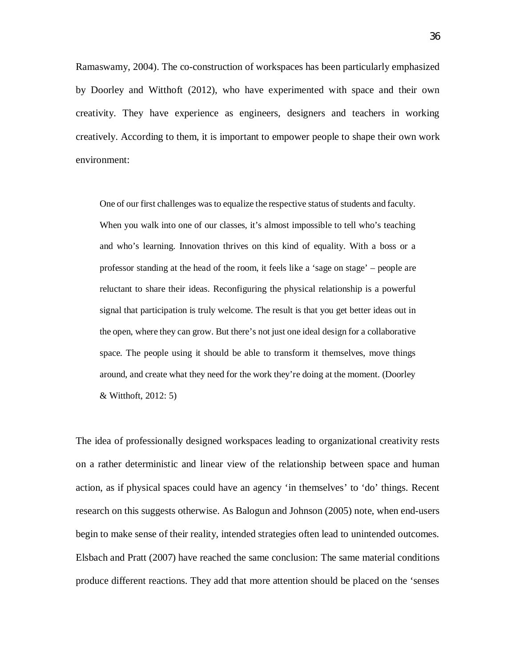Ramaswamy, 2004). The co-construction of workspaces has been particularly emphasized by Doorley and Witthoft (2012), who have experimented with space and their own creativity. They have experience as engineers, designers and teachers in working creatively. According to them, it is important to empower people to shape their own work environment:

One of our first challenges was to equalize the respective status of students and faculty. When you walk into one of our classes, it's almost impossible to tell who's teaching and who's learning. Innovation thrives on this kind of equality. With a boss or a professor standing at the head of the room, it feels like a 'sage on stage' – people are reluctant to share their ideas. Reconfiguring the physical relationship is a powerful signal that participation is truly welcome. The result is that you get better ideas out in the open, where they can grow. But there's not just one ideal design for a collaborative space. The people using it should be able to transform it themselves, move things around, and create what they need for the work they're doing at the moment. (Doorley & Witthoft, 2012: 5)

The idea of professionally designed workspaces leading to organizational creativity rests on a rather deterministic and linear view of the relationship between space and human action, as if physical spaces could have an agency 'in themselves' to 'do' things. Recent research on this suggests otherwise. As Balogun and Johnson (2005) note, when end-users begin to make sense of their reality, intended strategies often lead to unintended outcomes. Elsbach and Pratt (2007) have reached the same conclusion: The same material conditions produce different reactions. They add that more attention should be placed on the 'senses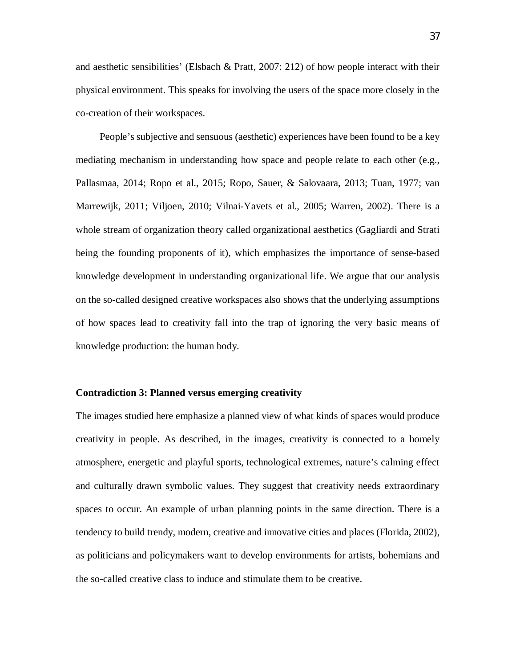and aesthetic sensibilities' (Elsbach & Pratt, 2007: 212) of how people interact with their physical environment. This speaks for involving the users of the space more closely in the co-creation of their workspaces.

People's subjective and sensuous (aesthetic) experiences have been found to be a key mediating mechanism in understanding how space and people relate to each other (e.g., Pallasmaa, 2014; Ropo et al., 2015; Ropo, Sauer, & Salovaara, 2013; Tuan, 1977; van Marrewijk, 2011; Viljoen, 2010; Vilnai-Yavets et al., 2005; Warren, 2002). There is a whole stream of organization theory called organizational aesthetics (Gagliardi and Strati being the founding proponents of it), which emphasizes the importance of sense-based knowledge development in understanding organizational life. We argue that our analysis on the so-called designed creative workspaces also shows that the underlying assumptions of how spaces lead to creativity fall into the trap of ignoring the very basic means of knowledge production: the human body.

#### **Contradiction 3: Planned versus emerging creativity**

The images studied here emphasize a planned view of what kinds of spaces would produce creativity in people. As described, in the images, creativity is connected to a homely atmosphere, energetic and playful sports, technological extremes, nature's calming effect and culturally drawn symbolic values. They suggest that creativity needs extraordinary spaces to occur. An example of urban planning points in the same direction. There is a tendency to build trendy, modern, creative and innovative cities and places (Florida, 2002), as politicians and policymakers want to develop environments for artists, bohemians and the so-called creative class to induce and stimulate them to be creative.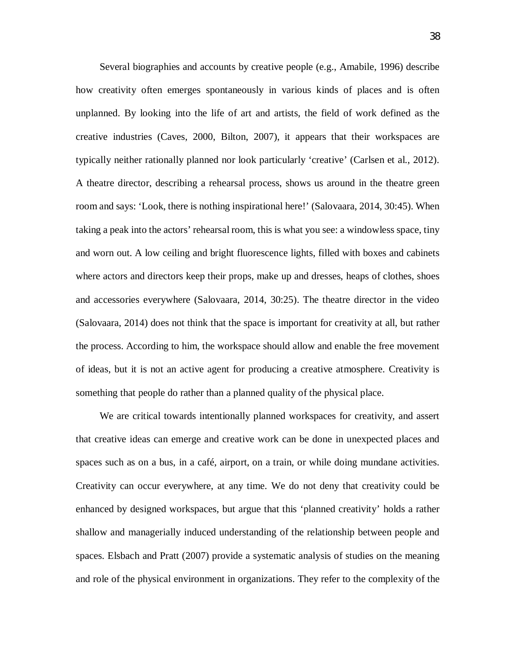Several biographies and accounts by creative people (e.g., Amabile, 1996) describe how creativity often emerges spontaneously in various kinds of places and is often unplanned. By looking into the life of art and artists, the field of work defined as the creative industries (Caves, 2000, Bilton, 2007), it appears that their workspaces are typically neither rationally planned nor look particularly 'creative' (Carlsen et al., 2012). A theatre director, describing a rehearsal process, shows us around in the theatre green room and says: 'Look, there is nothing inspirational here!' (Salovaara, 2014, 30:45). When taking a peak into the actors' rehearsal room, this is what you see: a windowless space, tiny and worn out. A low ceiling and bright fluorescence lights, filled with boxes and cabinets where actors and directors keep their props, make up and dresses, heaps of clothes, shoes and accessories everywhere (Salovaara, 2014, 30:25). The theatre director in the video (Salovaara, 2014) does not think that the space is important for creativity at all, but rather the process. According to him, the workspace should allow and enable the free movement of ideas, but it is not an active agent for producing a creative atmosphere. Creativity is something that people do rather than a planned quality of the physical place.

We are critical towards intentionally planned workspaces for creativity, and assert that creative ideas can emerge and creative work can be done in unexpected places and spaces such as on a bus, in a café, airport, on a train, or while doing mundane activities. Creativity can occur everywhere, at any time. We do not deny that creativity could be enhanced by designed workspaces, but argue that this 'planned creativity' holds a rather shallow and managerially induced understanding of the relationship between people and spaces. Elsbach and Pratt (2007) provide a systematic analysis of studies on the meaning and role of the physical environment in organizations. They refer to the complexity of the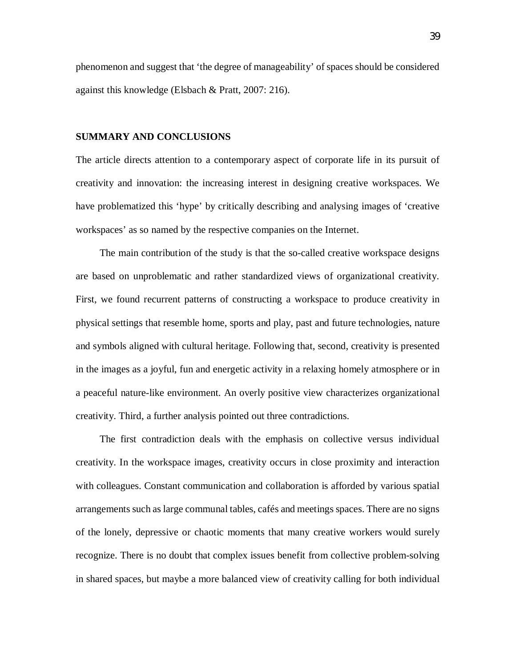phenomenon and suggest that 'the degree of manageability' of spaces should be considered against this knowledge (Elsbach & Pratt, 2007: 216).

## **SUMMARY AND CONCLUSIONS**

The article directs attention to a contemporary aspect of corporate life in its pursuit of creativity and innovation: the increasing interest in designing creative workspaces. We have problematized this 'hype' by critically describing and analysing images of 'creative workspaces' as so named by the respective companies on the Internet.

The main contribution of the study is that the so-called creative workspace designs are based on unproblematic and rather standardized views of organizational creativity. First, we found recurrent patterns of constructing a workspace to produce creativity in physical settings that resemble home, sports and play, past and future technologies, nature and symbols aligned with cultural heritage. Following that, second, creativity is presented in the images as a joyful, fun and energetic activity in a relaxing homely atmosphere or in a peaceful nature-like environment. An overly positive view characterizes organizational creativity. Third, a further analysis pointed out three contradictions.

The first contradiction deals with the emphasis on collective versus individual creativity. In the workspace images, creativity occurs in close proximity and interaction with colleagues. Constant communication and collaboration is afforded by various spatial arrangements such as large communal tables, cafés and meetings spaces. There are no signs of the lonely, depressive or chaotic moments that many creative workers would surely recognize. There is no doubt that complex issues benefit from collective problem-solving in shared spaces, but maybe a more balanced view of creativity calling for both individual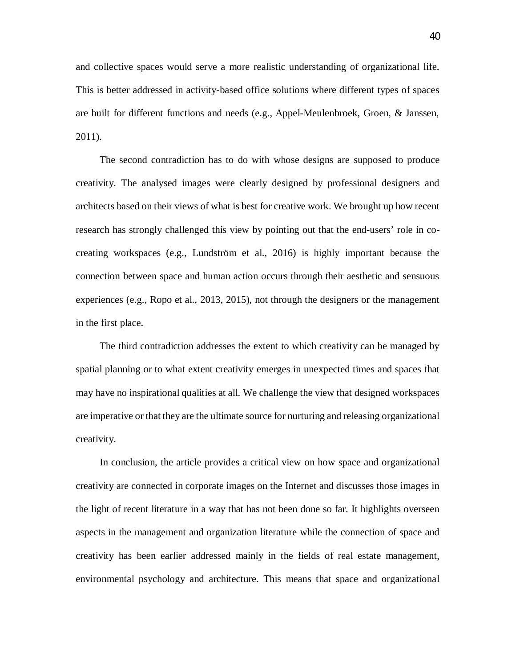and collective spaces would serve a more realistic understanding of organizational life. This is better addressed in activity-based office solutions where different types of spaces are built for different functions and needs (e.g., Appel-Meulenbroek, Groen, & Janssen, 2011).

The second contradiction has to do with whose designs are supposed to produce creativity. The analysed images were clearly designed by professional designers and architects based on their views of what is best for creative work. We brought up how recent research has strongly challenged this view by pointing out that the end-users' role in cocreating workspaces (e.g., Lundström et al., 2016) is highly important because the connection between space and human action occurs through their aesthetic and sensuous experiences (e.g., Ropo et al., 2013, 2015), not through the designers or the management in the first place.

The third contradiction addresses the extent to which creativity can be managed by spatial planning or to what extent creativity emerges in unexpected times and spaces that may have no inspirational qualities at all. We challenge the view that designed workspaces are imperative or that they are the ultimate source for nurturing and releasing organizational creativity.

In conclusion, the article provides a critical view on how space and organizational creativity are connected in corporate images on the Internet and discusses those images in the light of recent literature in a way that has not been done so far. It highlights overseen aspects in the management and organization literature while the connection of space and creativity has been earlier addressed mainly in the fields of real estate management, environmental psychology and architecture. This means that space and organizational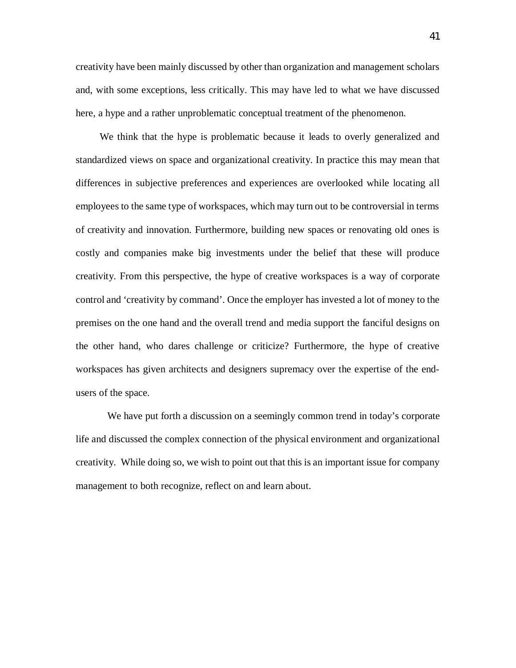creativity have been mainly discussed by other than organization and management scholars and, with some exceptions, less critically. This may have led to what we have discussed here, a hype and a rather unproblematic conceptual treatment of the phenomenon.

We think that the hype is problematic because it leads to overly generalized and standardized views on space and organizational creativity. In practice this may mean that differences in subjective preferences and experiences are overlooked while locating all employees to the same type of workspaces, which may turn out to be controversial in terms of creativity and innovation. Furthermore, building new spaces or renovating old ones is costly and companies make big investments under the belief that these will produce creativity. From this perspective, the hype of creative workspaces is a way of corporate control and 'creativity by command'. Once the employer has invested a lot of money to the premises on the one hand and the overall trend and media support the fanciful designs on the other hand, who dares challenge or criticize? Furthermore, the hype of creative workspaces has given architects and designers supremacy over the expertise of the endusers of the space.

 We have put forth a discussion on a seemingly common trend in today's corporate life and discussed the complex connection of the physical environment and organizational creativity. While doing so, we wish to point out that this is an important issue for company management to both recognize, reflect on and learn about.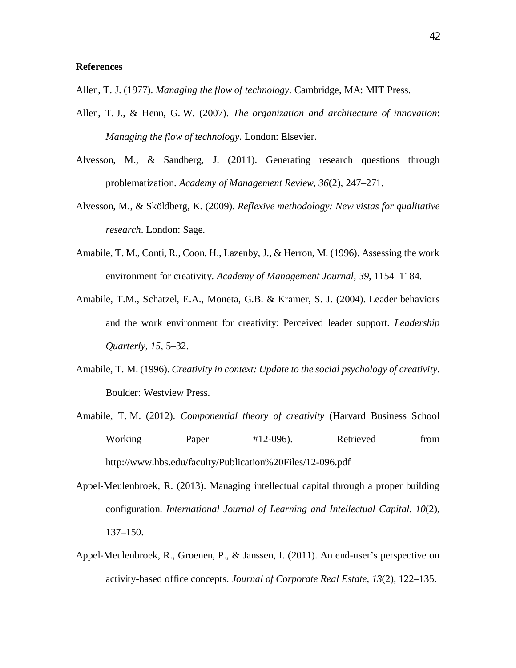## **References**

Allen, T. J. (1977). *Managing the flow of technology*. Cambridge, MA: MIT Press.

- Allen, T. J., & Henn, G. W. (2007). *The organization and architecture of innovation*: *Managing the flow of technology.* London: Elsevier.
- Alvesson, M., & Sandberg, J. (2011). Generating research questions through problematization. *Academy of Management Review*, *36*(2), 247–271.
- Alvesson, M., & Sköldberg, K. (2009). *Reflexive methodology: New vistas for qualitative research*. London: Sage.
- Amabile, T. M., Conti, R., Coon, H., Lazenby, J., & Herron, M. (1996). Assessing the work environment for creativity. *Academy of Management Journal, 39*, 1154–1184.
- Amabile, T.M., Schatzel, E.A., Moneta, G.B. & Kramer, S. J. (2004). Leader behaviors and the work environment for creativity: Perceived leader support. *Leadership Quarterly*, *15*, 5–32.
- Amabile, T. M. (1996). *Creativity in context: Update to the social psychology of creativity*. Boulder: Westview Press.
- Amabile, T. M. (2012). *Componential theory of creativity* (Harvard Business School Working Paper #12-096). Retrieved from http://www.hbs.edu/faculty/Publication%20Files/12-096.pdf
- Appel-Meulenbroek, R. (2013). Managing intellectual capital through a proper building configuration. *International Journal of Learning and Intellectual Capital, 10*(2), 137–150.
- Appel-Meulenbroek, R., Groenen, P., & Janssen, I. (2011). An end-user's perspective on activity-based office concepts. *Journal of Corporate Real Estate*, *13*(2), 122–135.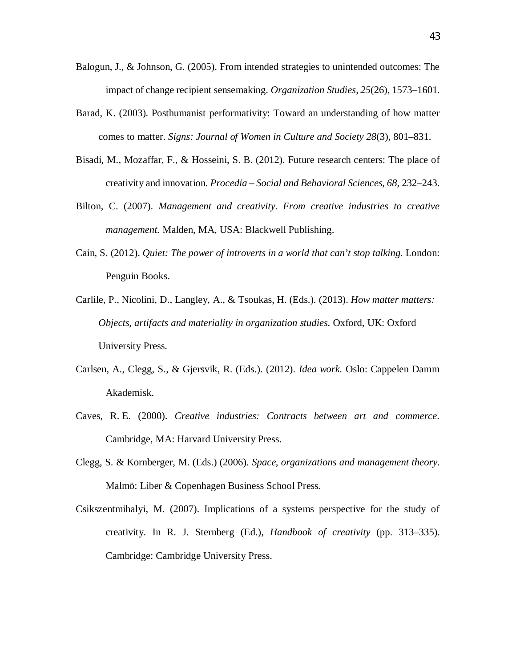- Balogun, J., & Johnson, G. (2005). From intended strategies to unintended outcomes: The impact of change recipient sensemaking. *Organization Studies, 25*(26), 1573–1601.
- Barad, K. (2003). Posthumanist performativity: Toward an understanding of how matter comes to matter. *Signs: Journal of Women in Culture and Society 28*(3), 801–831.
- Bisadi, M., Mozaffar, F., & Hosseini, S. B. (2012). Future research centers: The place of creativity and innovation. *Procedia – Social and Behavioral Sciences, 68*, 232–243.
- Bilton, C. (2007). *Management and creativity. From creative industries to creative management.* Malden, MA, USA: Blackwell Publishing.
- Cain, S. (2012). *Quiet: The power of introverts in a world that can't stop talking.* London: Penguin Books.
- Carlile, P., Nicolini, D., Langley, A., & Tsoukas, H. (Eds.). (2013). *How matter matters: Objects, artifacts and materiality in organization studies.* Oxford, UK: Oxford University Press.
- Carlsen, A., Clegg, S., & Gjersvik, R. (Eds.). (2012). *Idea work.* Oslo: Cappelen Damm Akademisk.
- Caves, R. E. (2000). *Creative industries: Contracts between art and commerce*. Cambridge, MA: Harvard University Press.
- Clegg, S. & Kornberger, M. (Eds.) (2006). *Space, organizations and management theory*. Malmö: Liber & Copenhagen Business School Press.
- Csikszentmihalyi, M. (2007). Implications of a systems perspective for the study of creativity. In R. J. Sternberg (Ed.), *Handbook of creativity* (pp. 313–335). Cambridge: Cambridge University Press.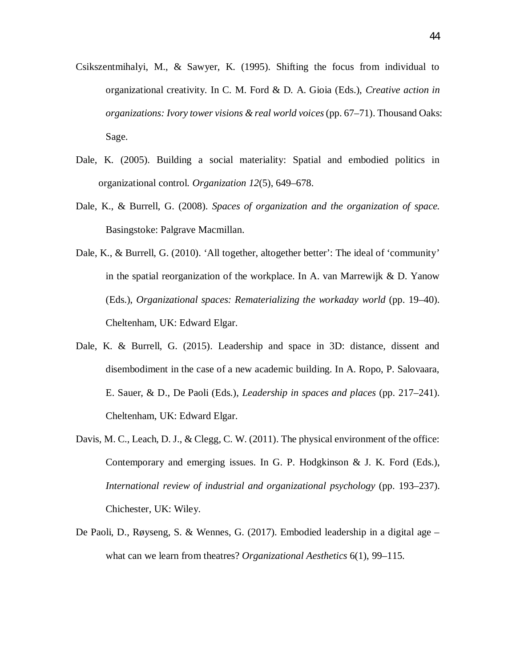- Csikszentmihalyi, M., & Sawyer, K. (1995). Shifting the focus from individual to organizational creativity. In C. M. Ford & D. A. Gioia (Eds.), *Creative action in organizations: Ivory tower visions & real world voices (pp. 67–71). Thousand Oaks:* Sage.
- Dale, K. (2005). Building a social materiality: Spatial and embodied politics in organizational control. *Organization 12*(5), 649–678.
- Dale, K., & Burrell, G. (2008). *Spaces of organization and the organization of space.* Basingstoke: Palgrave Macmillan.
- Dale, K., & Burrell, G. (2010). 'All together, altogether better': The ideal of 'community' in the spatial reorganization of the workplace. In A. van Marrewijk & D. Yanow (Eds.), *Organizational spaces: Rematerializing the workaday world* (pp. 19–40). Cheltenham, UK: Edward Elgar.
- Dale, K. & Burrell, G. (2015). Leadership and space in 3D: distance, dissent and disembodiment in the case of a new academic building. In A. Ropo, P. Salovaara, E. Sauer, & D., De Paoli (Eds.), *Leadership in spaces and places* (pp. 217–241). Cheltenham, UK: Edward Elgar.
- Davis, M. C., Leach, D. J., & Clegg, C. W. (2011). The physical environment of the office: Contemporary and emerging issues. In G. P. Hodgkinson & J. K. Ford (Eds.), *International review of industrial and organizational psychology* (pp. 193–237). Chichester, UK: Wiley.
- De Paoli, D., Røyseng, S. & Wennes, G. (2017). Embodied leadership in a digital age what can we learn from theatres? *Organizational Aesthetics* 6(1), 99–115.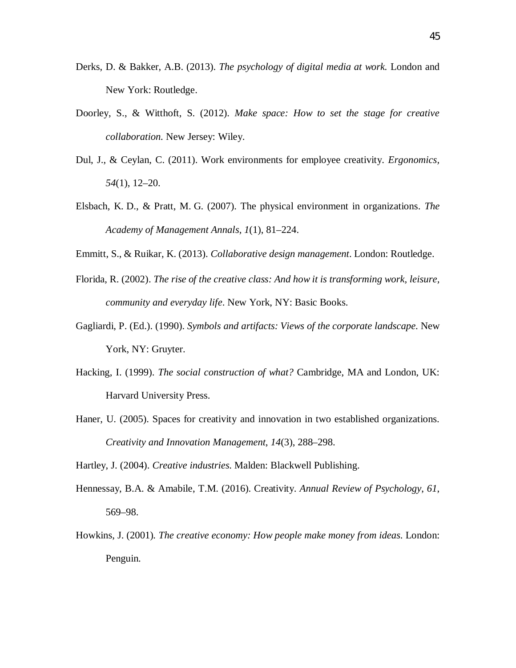- Derks, D. & Bakker, A.B. (2013). *The psychology of digital media at work.* London and New York: Routledge.
- Doorley, S., & Witthoft, S. (2012). *Make space: How to set the stage for creative collaboration.* New Jersey: Wiley.
- Dul, J., & Ceylan, C. (2011). Work environments for employee creativity. *Ergonomics, 54*(1), 12–20.
- Elsbach, K. D., & Pratt, M. G. (2007). The physical environment in organizations. *The Academy of Management Annals, 1*(1), 81–224.
- Emmitt, S., & Ruikar, K. (2013). *Collaborative design management*. London: Routledge.
- Florida, R. (2002). *The rise of the creative class: And how it is transforming work, leisure, community and everyday life*. New York, NY: Basic Books.
- Gagliardi, P. (Ed.). (1990). *Symbols and artifacts: Views of the corporate landscape*. New York, NY: Gruyter.
- Hacking, I. (1999). *The social construction of what?* Cambridge, MA and London, UK: Harvard University Press.
- Haner, U. (2005). Spaces for creativity and innovation in two established organizations. *Creativity and Innovation Management*, *14*(3), 288–298.

Hartley, J. (2004). *Creative industries*. Malden: Blackwell Publishing.

- Hennessay, B.A. & Amabile, T.M. (2016). Creativity. *Annual Review of Psychology*, *61*, 569–98.
- Howkins, J. (2001)*. The creative economy: How people make money from ideas*. London: Penguin.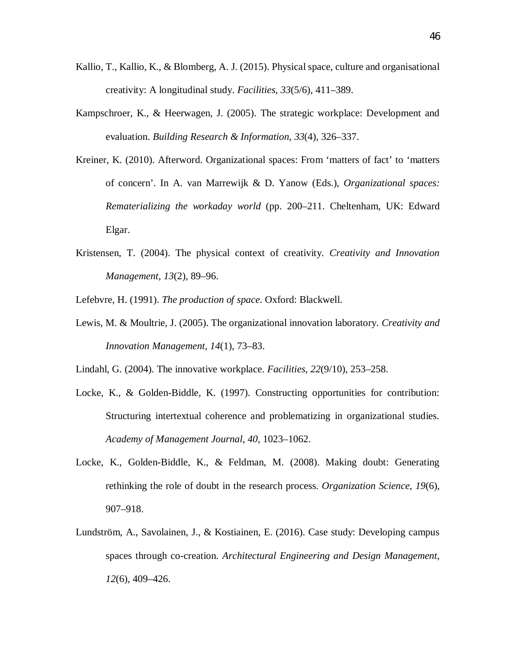- Kallio, T., Kallio, K., & Blomberg, A. J. (2015). Physical space, culture and organisational creativity: A longitudinal study. *Facilities*, *33*(5/6), 411–389.
- Kampschroer, K., & Heerwagen, J. (2005). The strategic workplace: Development and evaluation. *Building Research & Information*, *33*(4), 326–337.
- Kreiner, K. (2010). Afterword. Organizational spaces: From 'matters of fact' to 'matters of concern'. In A. van Marrewijk & D. Yanow (Eds.), *Organizational spaces: Rematerializing the workaday world* (pp. 200–211. Cheltenham, UK: Edward Elgar.
- Kristensen, T. (2004). The physical context of creativity. *Creativity and Innovation Management*, *13*(2), 89–96.

Lefebvre, H. (1991). *The production of space*. Oxford: Blackwell.

Lewis, M. & Moultrie, J. (2005). The organizational innovation laboratory. *Creativity and Innovation Management*, *14*(1), 73–83.

Lindahl, G. (2004). The innovative workplace. *Facilities*, *22*(9/10), 253–258.

- Locke, K., & Golden-Biddle, K. (1997). Constructing opportunities for contribution: Structuring intertextual coherence and problematizing in organizational studies. *Academy of Management Journal*, *40*, 1023–1062.
- Locke, K., Golden-Biddle, K., & Feldman, M. (2008). Making doubt: Generating rethinking the role of doubt in the research process. *Organization Science*, *19*(6), 907–918.
- Lundström, A., Savolainen, J., & Kostiainen, E. (2016). Case study: Developing campus spaces through co-creation. *Architectural Engineering and Design Management*, *12*(6), 409–426.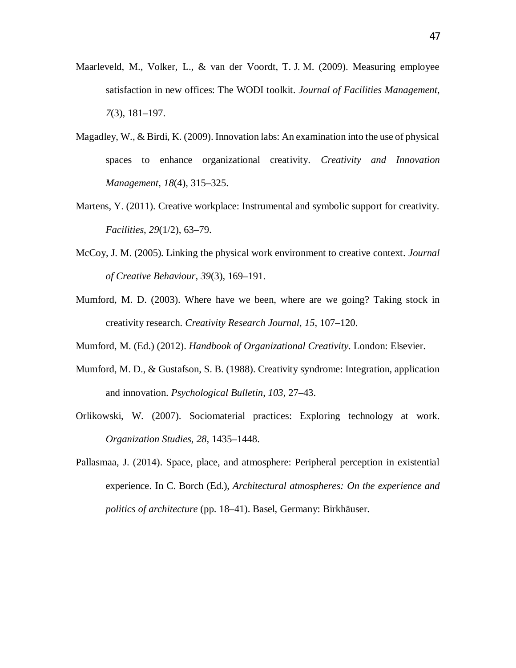- Maarleveld, M., Volker, L., & van der Voordt, T. J. M. (2009). Measuring employee satisfaction in new offices: The WODI toolkit. *Journal of Facilities Management*, *7*(3), 181–197.
- Magadley, W., & Birdi, K. (2009). Innovation labs: An examination into the use of physical spaces to enhance organizational creativity. *Creativity and Innovation Management*, *18*(4), 315–325.
- Martens, Y. (2011). Creative workplace: Instrumental and symbolic support for creativity. *Facilities*, *29*(1/2), 63–79.
- McCoy, J. M. (2005). Linking the physical work environment to creative context. *Journal of Creative Behaviour*, *39*(3), 169–191.
- Mumford, M. D. (2003). Where have we been, where are we going? Taking stock in creativity research. *Creativity Research Journal*, *15*, 107–120.
- Mumford, M. (Ed.) (2012). *Handbook of Organizational Creativity*. London: Elsevier.
- Mumford, M. D., & Gustafson, S. B. (1988). Creativity syndrome: Integration, application and innovation. *Psychological Bulletin*, *103*, 27–43.
- Orlikowski, W. (2007). Sociomaterial practices: Exploring technology at work. *Organization Studies*, *28*, 1435–1448.
- Pallasmaa, J. (2014). Space, place, and atmosphere: Peripheral perception in existential experience. In C. Borch (Ed.), *Architectural atmospheres: On the experience and politics of architecture* (pp. 18–41). Basel, Germany: Birkhäuser.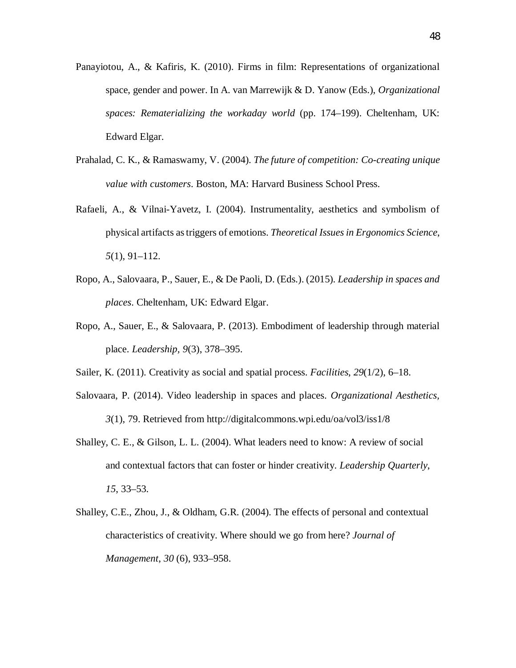- Panayiotou, A., & Kafiris, K. (2010). Firms in film: Representations of organizational space, gender and power. In A. van Marrewijk & D. Yanow (Eds.), *Organizational spaces: Rematerializing the workaday world* (pp. 174–199). Cheltenham, UK: Edward Elgar.
- Prahalad, C. K., & Ramaswamy, V. (2004). *The future of competition: Co-creating unique value with customers*. Boston, MA: Harvard Business School Press.
- Rafaeli, A., & Vilnai-Yavetz, I. (2004). Instrumentality, aesthetics and symbolism of physical artifacts as triggers of emotions. *Theoretical Issues in Ergonomics Science*, *5*(1), 91–112.
- Ropo, A., Salovaara, P., Sauer, E., & De Paoli, D. (Eds.). (2015). *Leadership in spaces and places*. Cheltenham, UK: Edward Elgar.
- Ropo, A., Sauer, E., & Salovaara, P. (2013). Embodiment of leadership through material place. *Leadership, 9*(3), 378–395.
- Sailer, K. (2011). Creativity as social and spatial process. *Facilities*, *29*(1/2), 6–18.
- Salovaara, P. (2014). Video leadership in spaces and places. *Organizational Aesthetics, 3*(1), 79. Retrieved from http://digitalcommons.wpi.edu/oa/vol3/iss1/8
- Shalley, C. E., & Gilson, L. L. (2004). What leaders need to know: A review of social and contextual factors that can foster or hinder creativity. *Leadership Quarterly*, *15*, 33–53.
- Shalley, C.E., Zhou, J., & Oldham, G.R. (2004). The effects of personal and contextual characteristics of creativity. Where should we go from here? *Journal of Management*, *30* (6), 933–958.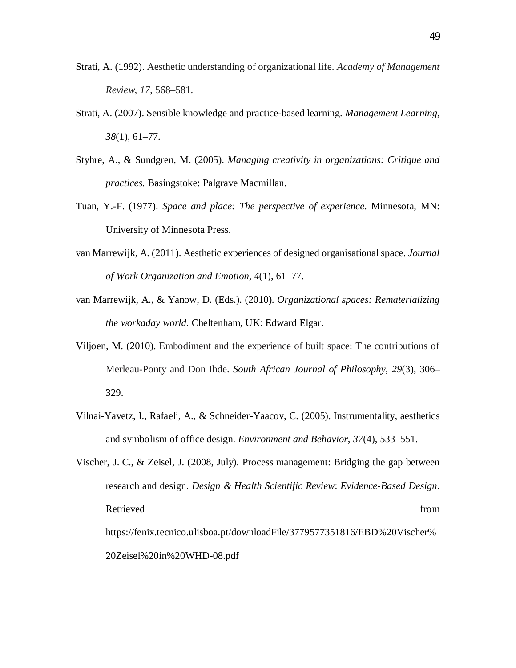- Strati, A. (1992). Aesthetic understanding of organizational life. *Academy of Management Review, 17*, 568–581.
- Strati, A. (2007). Sensible knowledge and practice-based learning. *Management Learning, 38*(1), 61–77.
- Styhre, A., & Sundgren, M. (2005). *Managing creativity in organizations: Critique and practices.* Basingstoke: Palgrave Macmillan.
- Tuan, Y.-F. (1977). *Space and place: The perspective of experience*. Minnesota, MN: University of Minnesota Press.
- van Marrewijk, A. (2011). Aesthetic experiences of designed organisational space. *Journal of Work Organization and Emotion*, *4*(1), 61–77.
- van Marrewijk, A., & Yanow, D. (Eds.). (2010). *Organizational spaces: Rematerializing the workaday world.* Cheltenham, UK: Edward Elgar.
- Viljoen, M. (2010). Embodiment and the experience of built space: The contributions of Merleau-Ponty and Don Ihde. *South African Journal of Philosophy, 29*(3), 306– 329.
- Vilnai-Yavetz, I., Rafaeli, A., & Schneider-Yaacov, C. (2005). Instrumentality, aesthetics and symbolism of office design. *Environment and Behavior*, *37*(4), 533–551.
- Vischer, J. C., & Zeisel, J. (2008, July). Process management: Bridging the gap between research and design. *Design & Health Scientific Review*: *Evidence-Based Design*. Retrieved from  $\blacksquare$ https://fenix.tecnico.ulisboa.pt/downloadFile/3779577351816/EBD%20Vischer% 20Zeisel%20in%20WHD-08.pdf